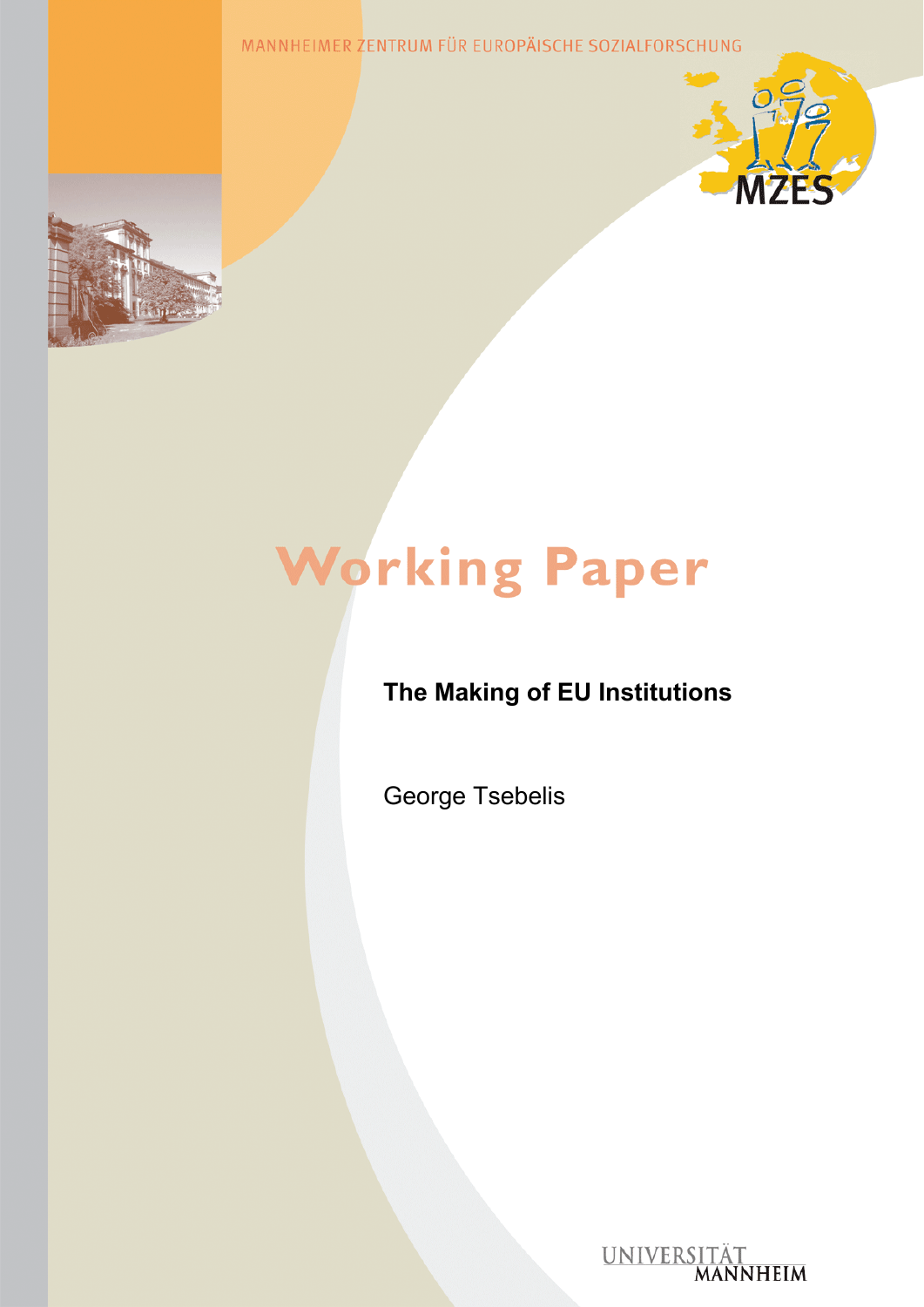MANNHEIMER ZENTRUM FÜR EUROPÄISCHE SOZIALFORSCHUNG





# Working Paper

# **The Making of EU Institutions**

George Tsebelis

<u>UNIVERSITÄT</u><br>**MANNHEIM**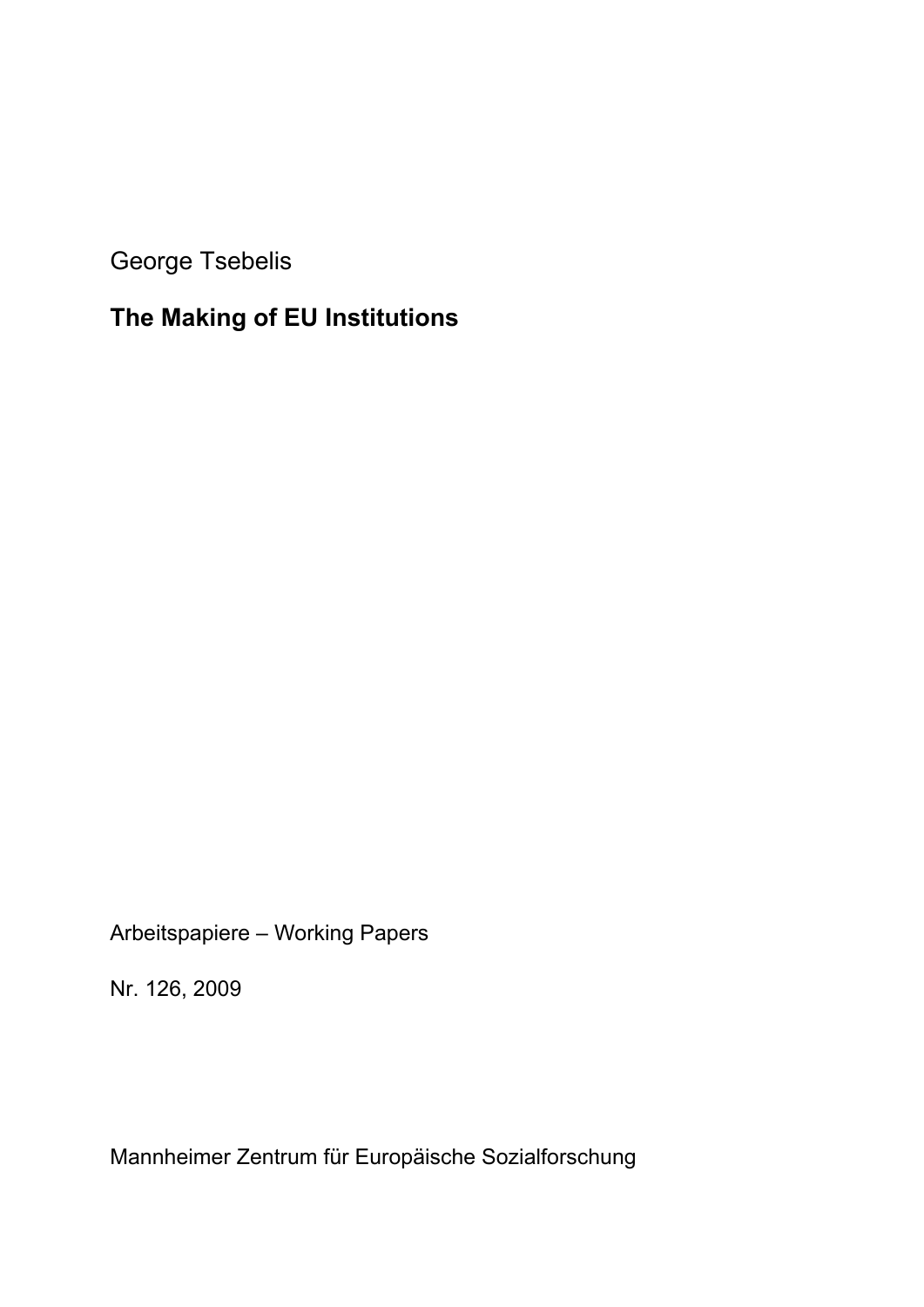George Tsebelis

# **The Making of EU Institutions**

Arbeitspapiere – Working Papers

Nr. 126, 2009

Mannheimer Zentrum für Europäische Sozialforschung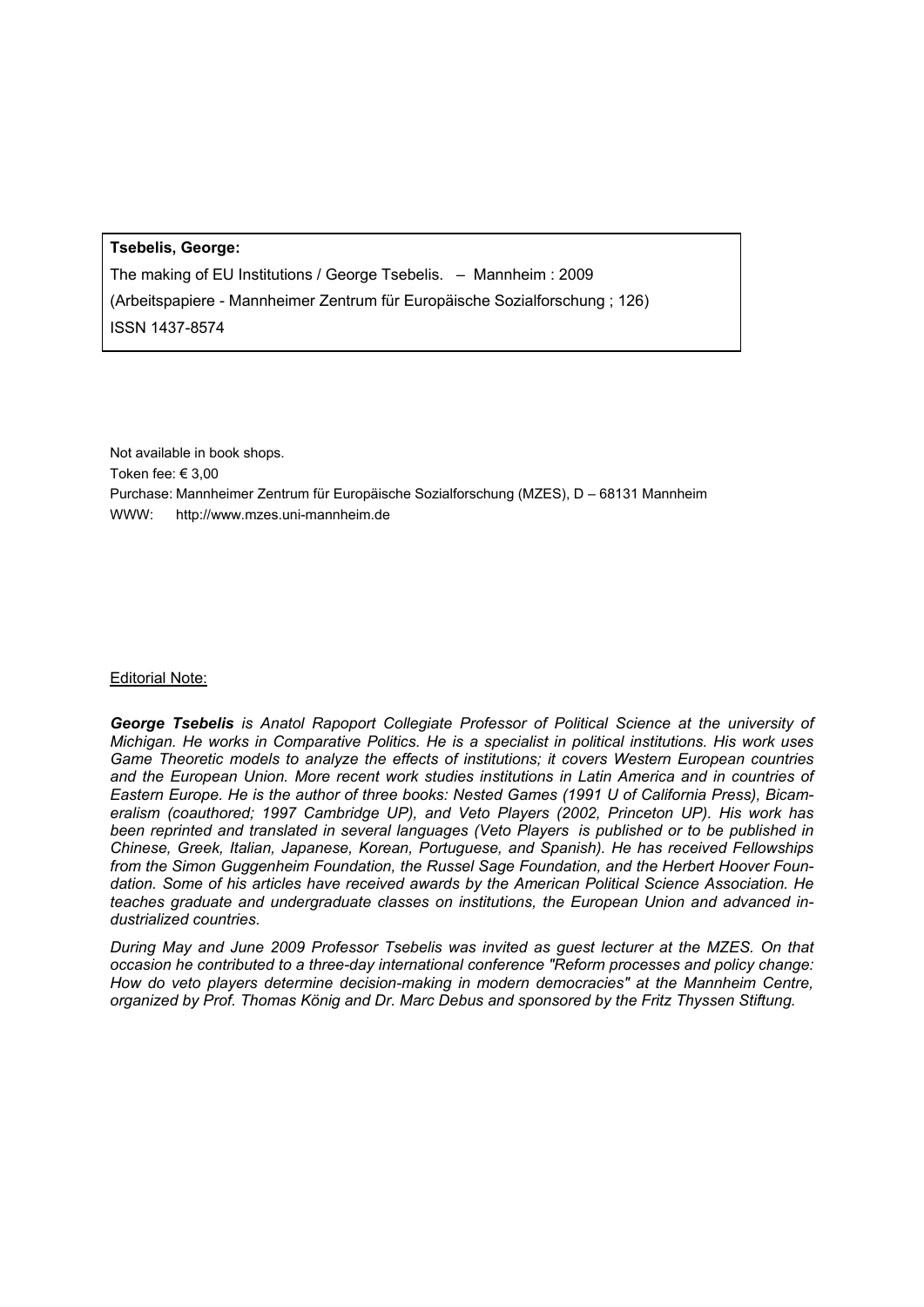#### **Tsebelis, George:**

The making of EU Institutions / George Tsebelis. – Mannheim : 2009 (Arbeitspapiere - Mannheimer Zentrum für Europäische Sozialforschung ; 126) ISSN 1437-8574

Not available in book shops. Token fee: € 3,00 Purchase: Mannheimer Zentrum für Europäische Sozialforschung (MZES), D – 68131 Mannheim WWW: http://www.mzes.uni-mannheim.de

#### Editorial Note:

*George Tsebelis is Anatol Rapoport Collegiate Professor of Political Science at the university of Michigan. He works in Comparative Politics. He is a specialist in political institutions. His work uses Game Theoretic models to analyze the effects of institutions; it covers Western European countries and the European Union. More recent work studies institutions in Latin America and in countries of Eastern Europe. He is the author of three books: Nested Games (1991 U of California Press), Bicameralism (coauthored; 1997 Cambridge UP), and Veto Players (2002, Princeton UP). His work has been reprinted and translated in several languages (Veto Players is published or to be published in Chinese, Greek, Italian, Japanese, Korean, Portuguese, and Spanish). He has received Fellowships from the Simon Guggenheim Foundation, the Russel Sage Foundation, and the Herbert Hoover Foundation. Some of his articles have received awards by the American Political Science Association. He teaches graduate and undergraduate classes on institutions, the European Union and advanced industrialized countries.* 

*During May and June 2009 Professor Tsebelis was invited as guest lecturer at the MZES. On that occasion he contributed to a three-day international conference "Reform processes and policy change: How do veto players determine decision-making in modern democracies" at the Mannheim Centre, organized by Prof. Thomas König and Dr. Marc Debus and sponsored by the Fritz Thyssen Stiftung.*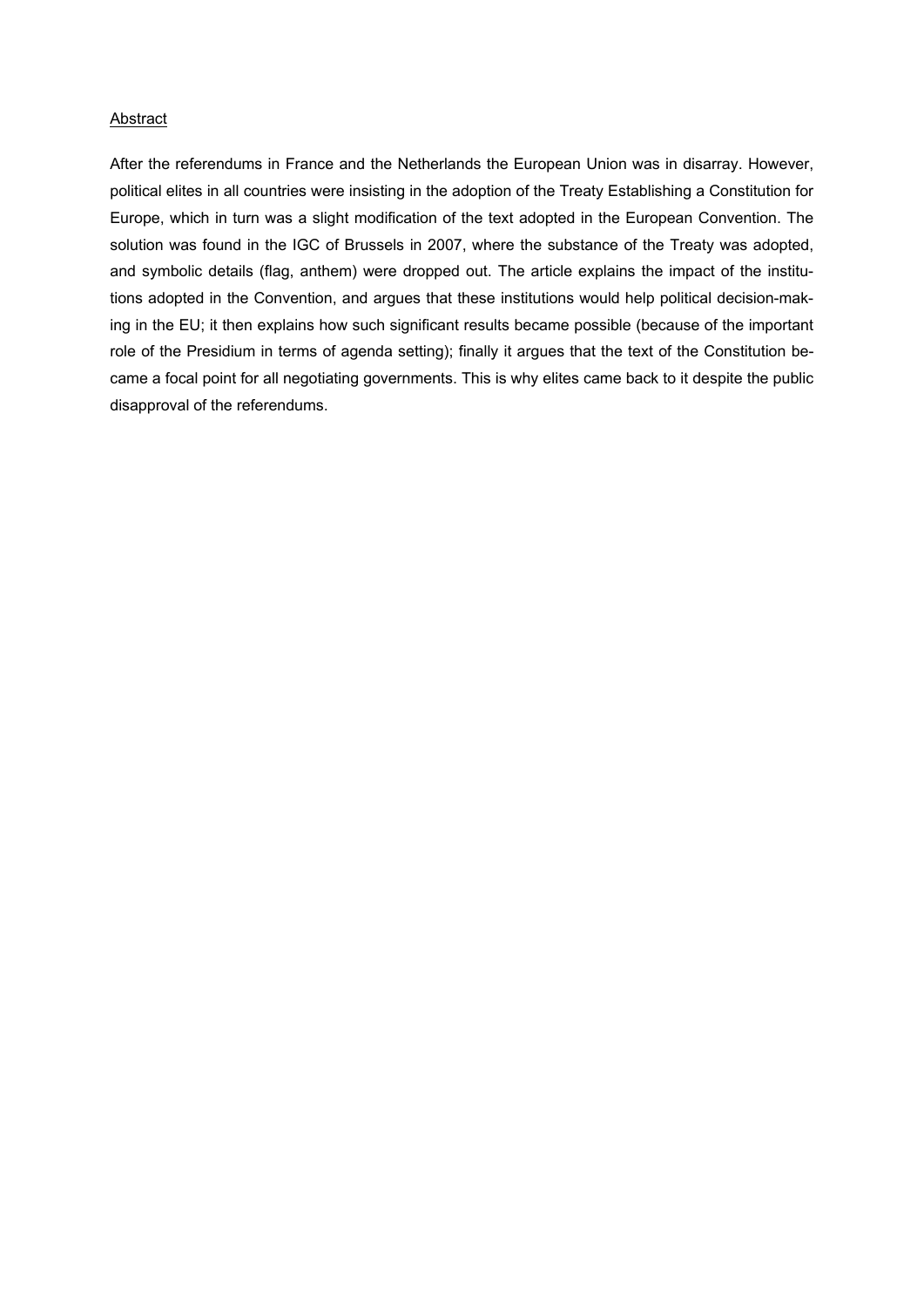#### **Abstract**

After the referendums in France and the Netherlands the European Union was in disarray. However, political elites in all countries were insisting in the adoption of the Treaty Establishing a Constitution for Europe, which in turn was a slight modification of the text adopted in the European Convention. The solution was found in the IGC of Brussels in 2007, where the substance of the Treaty was adopted, and symbolic details (flag, anthem) were dropped out. The article explains the impact of the institutions adopted in the Convention, and argues that these institutions would help political decision-making in the EU; it then explains how such significant results became possible (because of the important role of the Presidium in terms of agenda setting); finally it argues that the text of the Constitution became a focal point for all negotiating governments. This is why elites came back to it despite the public disapproval of the referendums.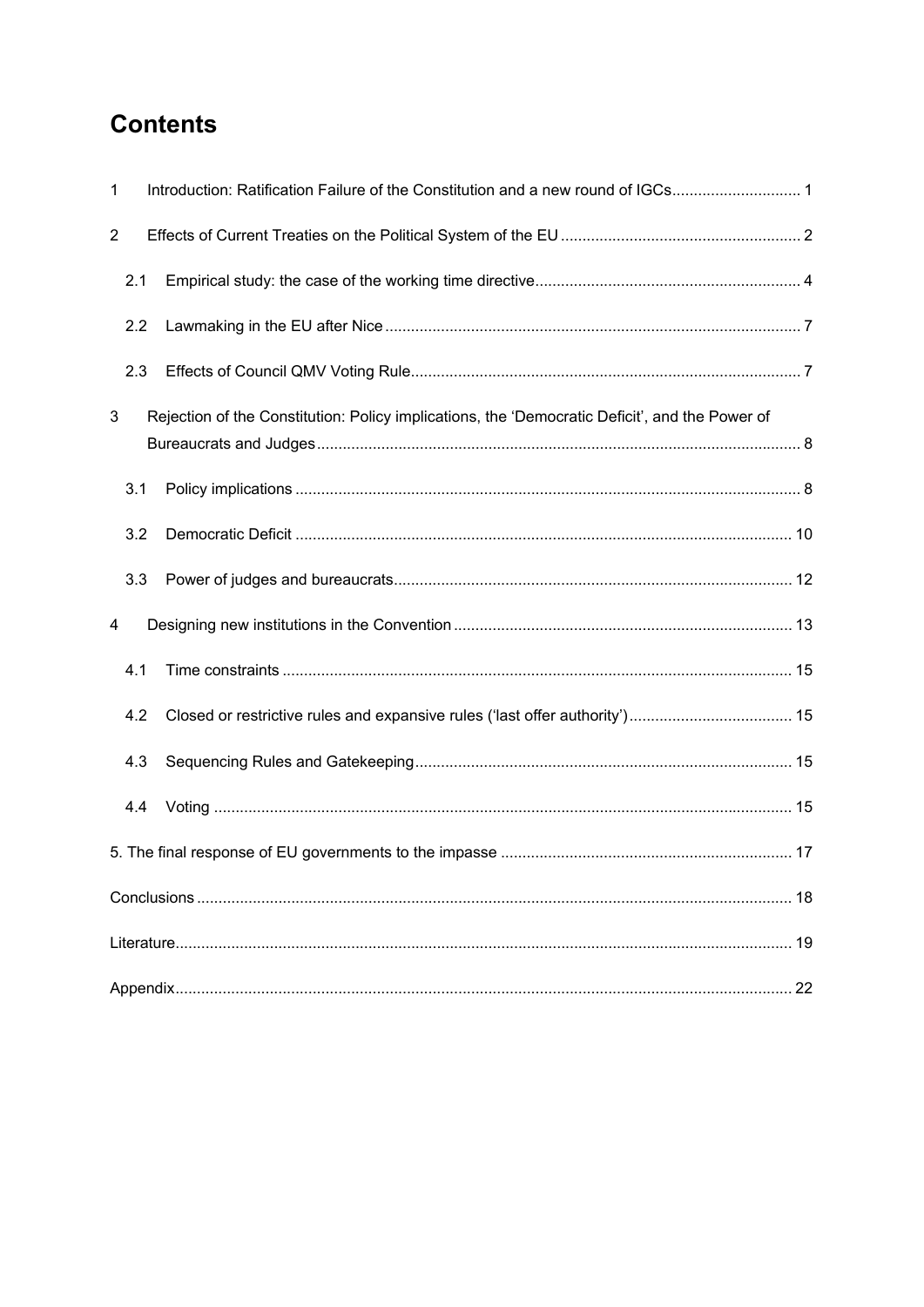# **Contents**

| $\mathbf 1$    | Introduction: Ratification Failure of the Constitution and a new round of IGCs1 |                                                                                                |  |  |  |
|----------------|---------------------------------------------------------------------------------|------------------------------------------------------------------------------------------------|--|--|--|
| $\overline{2}$ |                                                                                 |                                                                                                |  |  |  |
| 2.1            |                                                                                 |                                                                                                |  |  |  |
|                | 2.2                                                                             |                                                                                                |  |  |  |
|                | 2.3                                                                             |                                                                                                |  |  |  |
| 3              |                                                                                 | Rejection of the Constitution: Policy implications, the 'Democratic Deficit', and the Power of |  |  |  |
| 3.1            |                                                                                 |                                                                                                |  |  |  |
|                | 3.2                                                                             |                                                                                                |  |  |  |
|                | 3.3                                                                             |                                                                                                |  |  |  |
| 4              |                                                                                 |                                                                                                |  |  |  |
| 4.1            |                                                                                 |                                                                                                |  |  |  |
|                | 4.2                                                                             | Closed or restrictive rules and expansive rules ('last offer authority') 15                    |  |  |  |
|                | 4.3                                                                             |                                                                                                |  |  |  |
|                | 4.4                                                                             |                                                                                                |  |  |  |
|                |                                                                                 |                                                                                                |  |  |  |
|                |                                                                                 |                                                                                                |  |  |  |
|                |                                                                                 |                                                                                                |  |  |  |
|                |                                                                                 |                                                                                                |  |  |  |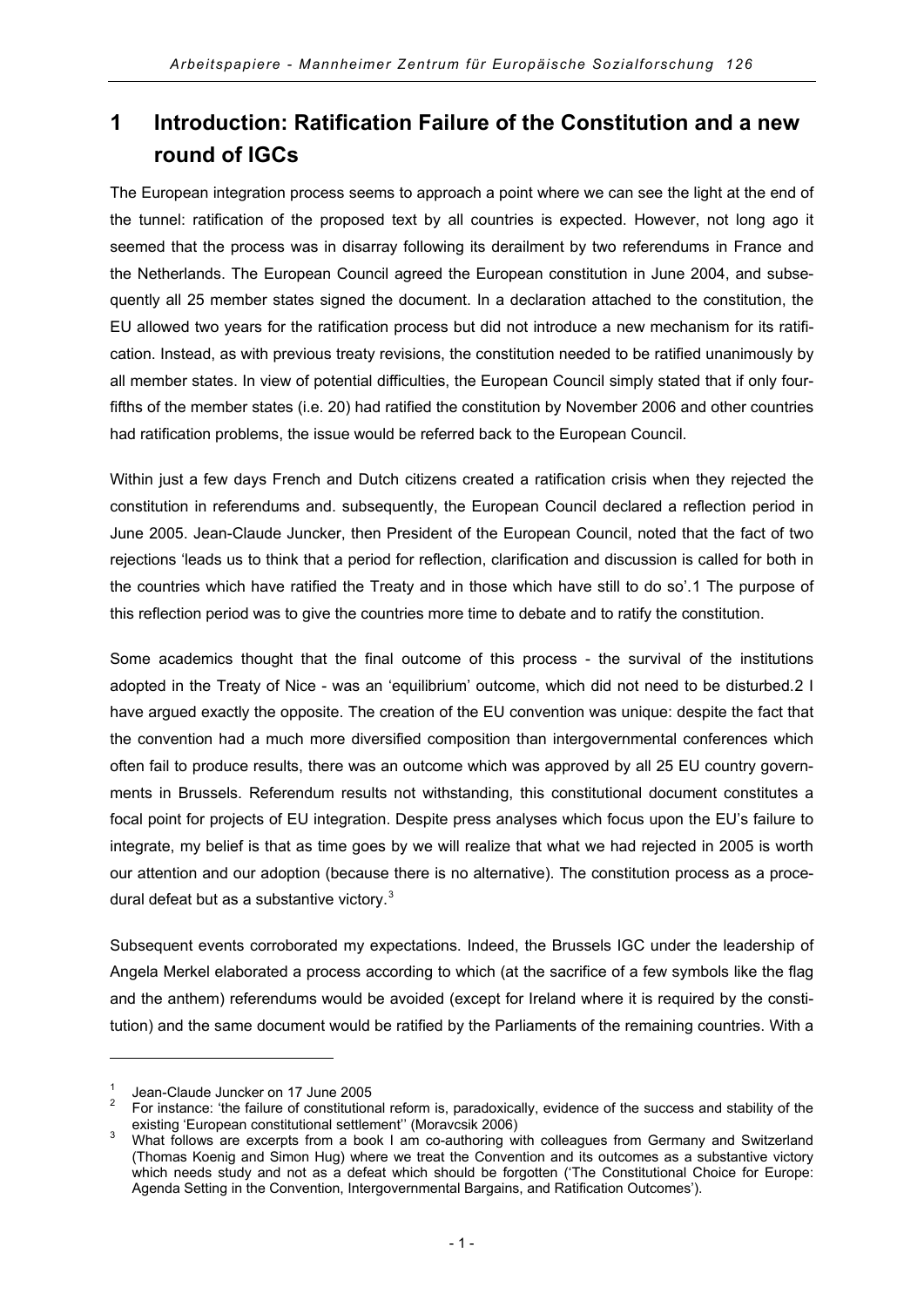## <span id="page-5-1"></span><span id="page-5-0"></span>**1 Introduction: Ratification Failure of the Constitution and a new round of IGCs**

The European integration process seems to approach a point where we can see the light at the end of the tunnel: ratification of the proposed text by all countries is expected. However, not long ago it seemed that the process was in disarray following its derailment by two referendums in France and the Netherlands. The European Council agreed the European constitution in June 2004, and subsequently all 25 member states signed the document. In a declaration attached to the constitution, the EU allowed two years for the ratification process but did not introduce a new mechanism for its ratification. Instead, as with previous treaty revisions, the constitution needed to be ratified unanimously by all member states. In view of potential difficulties, the European Council simply stated that if only fourfifths of the member states (i.e. 20) had ratified the constitution by November 2006 and other countries had ratification problems, the issue would be referred back to the European Council.

Within just a few days French and Dutch citizens created a ratification crisis when they rejected the constitution in referendums and. subsequently, the European Council [declared](http://www.eu2005.lu/en/actualites/communiques/2005/06/16jclj-ratif/index.html) a reflection period in June 2005. Jean-Claude Juncker, then President of the European Council, noted that the fact of two rejections 'leads us to think that a period for reflection, clarification and discussion is called for both in the countries which have ratified the Treaty and in those which have still to do so'.[1](#page-5-2) The purpose of this reflection period was to give the countries more time to debate and to ratify the constitution.

Some academics thought that the final outcome of this process - the survival of the institutions adopted in the Treaty of Nice - was an 'equilibrium' outcome, which did not need to be disturbed.[2 I](#page-5-3)  have argued exactly the opposite. The creation of the EU convention was unique: despite the fact that the convention had a much more diversified composition than intergovernmental conferences which often fail to produce results, there was an outcome which was approved by all 25 EU country governments in Brussels. Referendum results not withstanding, this constitutional document constitutes a focal point for projects of EU integration. Despite press analyses which focus upon the EU's failure to integrate, my belief is that as time goes by we will realize that what we had rejected in 2005 is worth our attention and our adoption (because there is no alternative). The constitution process as a proce-dural defeat but as a substantive victory.<sup>[3](#page-5-4)</sup>

Subsequent events corroborated my expectations. Indeed, the Brussels IGC under the leadership of Angela Merkel elaborated a process according to which (at the sacrifice of a few symbols like the flag and the anthem) referendums would be avoided (except for Ireland where it is required by the constitution) and the same document would be ratified by the Parliaments of the remaining countries. With a

<sup>1</sup> Jean-Claude Juncker on 17 June 2005

<span id="page-5-3"></span><span id="page-5-2"></span><sup>2</sup> For instance: 'the failure of constitutional reform is, paradoxically, evidence of the success and stability of the existing 'European constitutional settlement'' (Moravcsik 2006) 3

<span id="page-5-4"></span>What follows are excerpts from a book I am co-authoring with colleagues from Germany and Switzerland (Thomas Koenig and Simon Hug) where we treat the Convention and its outcomes as a substantive victory which needs study and not as a defeat which should be forgotten ('The Constitutional Choice for Europe: Agenda Setting in the Convention, Intergovernmental Bargains, and Ratification Outcomes').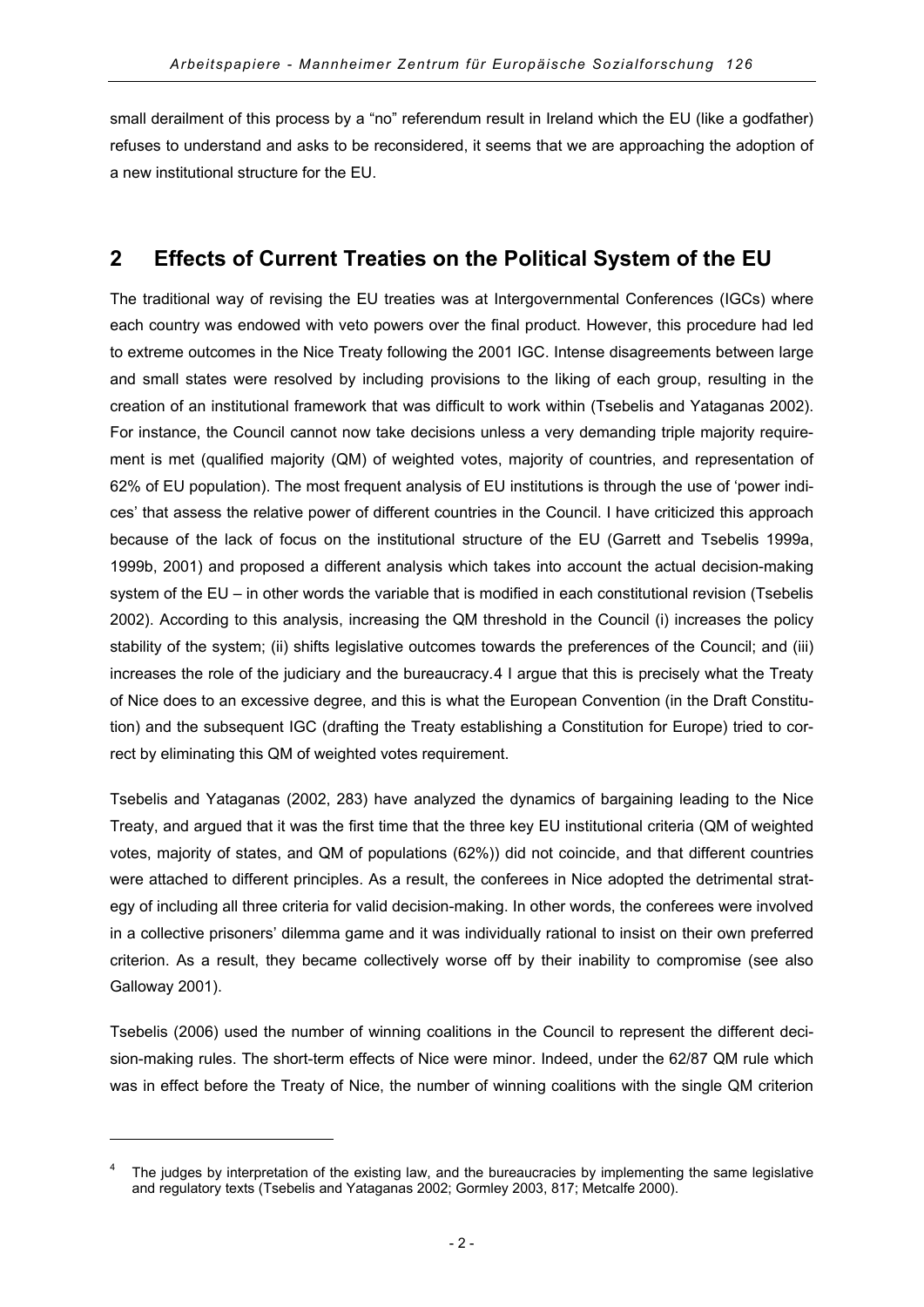<span id="page-6-0"></span>small derailment of this process by a "no" referendum result in Ireland which the EU (like a godfather) refuses to understand and asks to be reconsidered, it seems that we are approaching the adoption of a new institutional structure for the EU.

## <span id="page-6-1"></span>**2 Effects of Current Treaties on the Political System of the EU**

The traditional way of revising the EU treaties was at Intergovernmental Conferences (IGCs) where each country was endowed with veto powers over the final product. However, this procedure had led to extreme outcomes in the Nice Treaty following the 2001 IGC. Intense disagreements between large and small states were resolved by including provisions to the liking of each group, resulting in the creation of an institutional framework that was difficult to work within (Tsebelis and Yataganas 2002). For instance, the Council cannot now take decisions unless a very demanding triple majority requirement is met (qualified majority (QM) of weighted votes, majority of countries, and representation of 62% of EU population). The most frequent analysis of EU institutions is through the use of 'power indices' that assess the relative power of different countries in the Council. I have criticized this approach because of the lack of focus on the institutional structure of the EU (Garrett and Tsebelis 1999a, 1999b, 2001) and proposed a different analysis which takes into account the actual decision-making system of the EU – in other words the variable that is modified in each constitutional revision (Tsebelis 2002). According to this analysis, increasing the QM threshold in the Council (i) increases the policy stability of the system; (ii) shifts legislative outcomes towards the preferences of the Council; and (iii) increases the role of the judiciary and the bureaucracy.[4](#page-6-2) I argue that this is precisely what the Treaty of Nice does to an excessive degree, and this is what the European Convention (in the Draft Constitution) and the subsequent IGC (drafting the Treaty establishing a Constitution for Europe) tried to correct by eliminating this QM of weighted votes requirement.

Tsebelis and Yataganas (2002, 283) have analyzed the dynamics of bargaining leading to the Nice Treaty, and argued that it was the first time that the three key EU institutional criteria (QM of weighted votes, majority of states, and QM of populations (62%)) did not coincide, and that different countries were attached to different principles. As a result, the conferees in Nice adopted the detrimental strategy of including all three criteria for valid decision-making. In other words, the conferees were involved in a collective prisoners' dilemma game and it was individually rational to insist on their own preferred criterion. As a result, they became collectively worse off by their inability to compromise (see also Galloway 2001).

Tsebelis (2006) used the number of winning coalitions in the Council to represent the different decision-making rules. The short-term effects of Nice were minor. Indeed, under the 62/87 QM rule which was in effect before the Treaty of Nice, the number of winning coalitions with the single QM criterion

<span id="page-6-2"></span><sup>4</sup> The judges by interpretation of the existing law, and the bureaucracies by implementing the same legislative and regulatory texts (Tsebelis and Yataganas 2002; Gormley 2003, 817; Metcalfe 2000).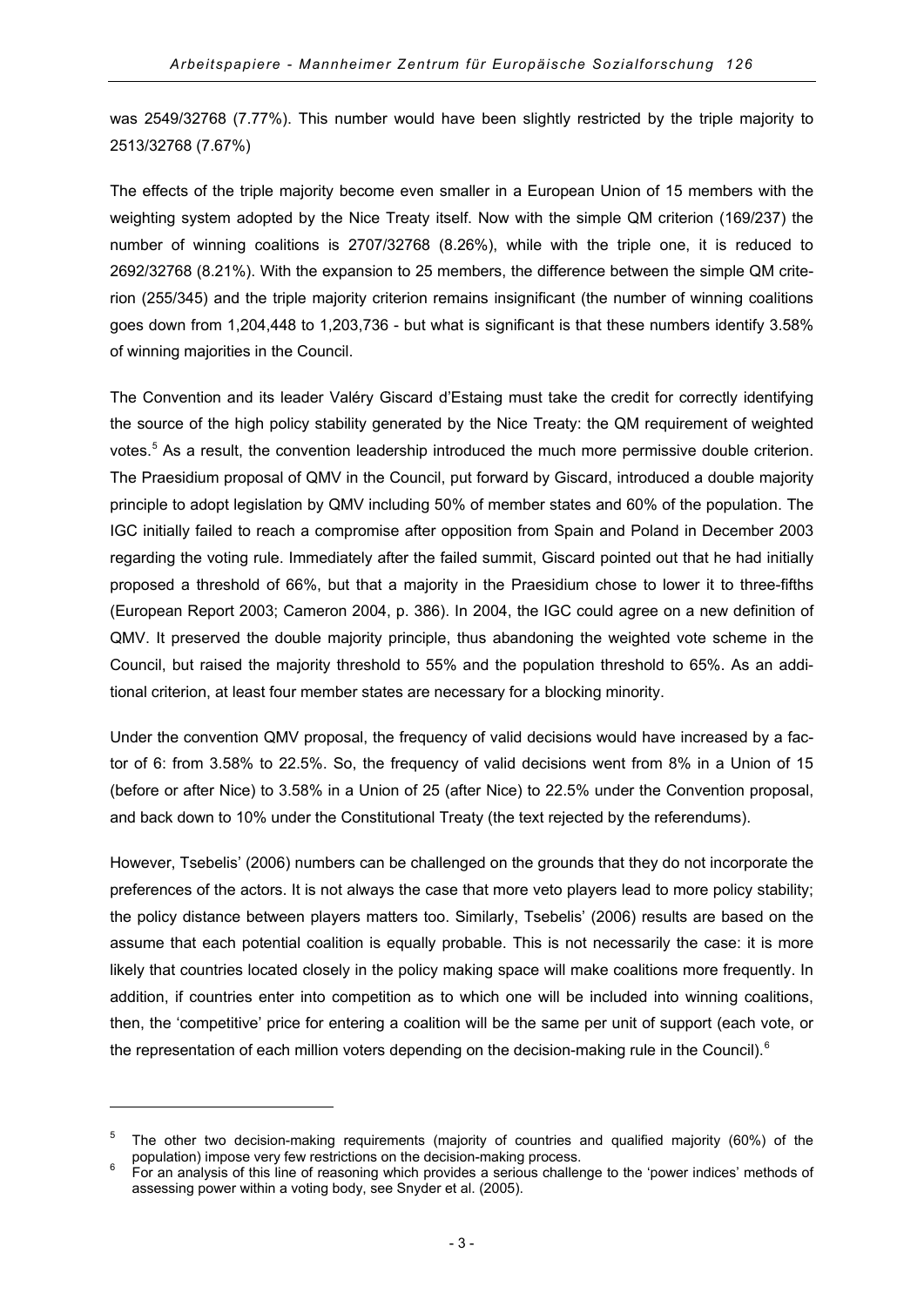was 2549/32768 (7.77%). This number would have been slightly restricted by the triple majority to 2513/32768 (7.67%)

The effects of the triple majority become even smaller in a European Union of 15 members with the weighting system adopted by the Nice Treaty itself. Now with the simple QM criterion (169/237) the number of winning coalitions is 2707/32768 (8.26%), while with the triple one, it is reduced to 2692/32768 (8.21%). With the expansion to 25 members, the difference between the simple QM criterion (255/345) and the triple majority criterion remains insignificant (the number of winning coalitions goes down from 1,204,448 to 1,203,736 - but what is significant is that these numbers identify 3.58% of winning majorities in the Council.

The Convention and its leader Valéry Giscard d'Estaing must take the credit for correctly identifying the source of the high policy stability generated by the Nice Treaty: the QM requirement of weighted votes.<sup>[5](#page-7-0)</sup> As a result, the convention leadership introduced the much more permissive double criterion. The Praesidium proposal of QMV in the Council, put forward by Giscard, introduced a double majority principle to adopt legislation by QMV including 50% of member states and 60% of the population. The IGC initially failed to reach a compromise after opposition from Spain and Poland in December 2003 regarding the voting rule. Immediately after the failed summit, Giscard pointed out that he had initially proposed a threshold of 66%, but that a majority in the Praesidium chose to lower it to three-fifths (European Report 2003; Cameron 2004, p. 386). In 2004, the IGC could agree on a new definition of QMV. It preserved the double majority principle, thus abandoning the weighted vote scheme in the Council, but raised the majority threshold to 55% and the population threshold to 65%. As an additional criterion, at least four member states are necessary for a blocking minority.

Under the convention QMV proposal, the frequency of valid decisions would have increased by a factor of 6: from 3.58% to 22.5%. So, the frequency of valid decisions went from 8% in a Union of 15 (before or after Nice) to 3.58% in a Union of 25 (after Nice) to 22.5% under the Convention proposal, and back down to 10% under the Constitutional Treaty (the text rejected by the referendums).

However, Tsebelis' (2006) numbers can be challenged on the grounds that they do not incorporate the preferences of the actors. It is not always the case that more veto players lead to more policy stability; the policy distance between players matters too. Similarly, Tsebelis' (2006) results are based on the assume that each potential coalition is equally probable. This is not necessarily the case: it is more likely that countries located closely in the policy making space will make coalitions more frequently. In addition, if countries enter into competition as to which one will be included into winning coalitions, then, the 'competitive' price for entering a coalition will be the same per unit of support (each vote, or the representation of each million voters depending on the decision-making rule in the Council).<sup>[6](#page-7-1)</sup>

<span id="page-7-0"></span><sup>5</sup> The other two decision-making requirements (majority of countries and qualified majority (60%) of the population) impose very few restrictions on the decision-making process.

<span id="page-7-1"></span>For an analysis of this line of reasoning which provides a serious challenge to the 'power indices' methods of assessing power within a voting body, see Snyder et al. (2005).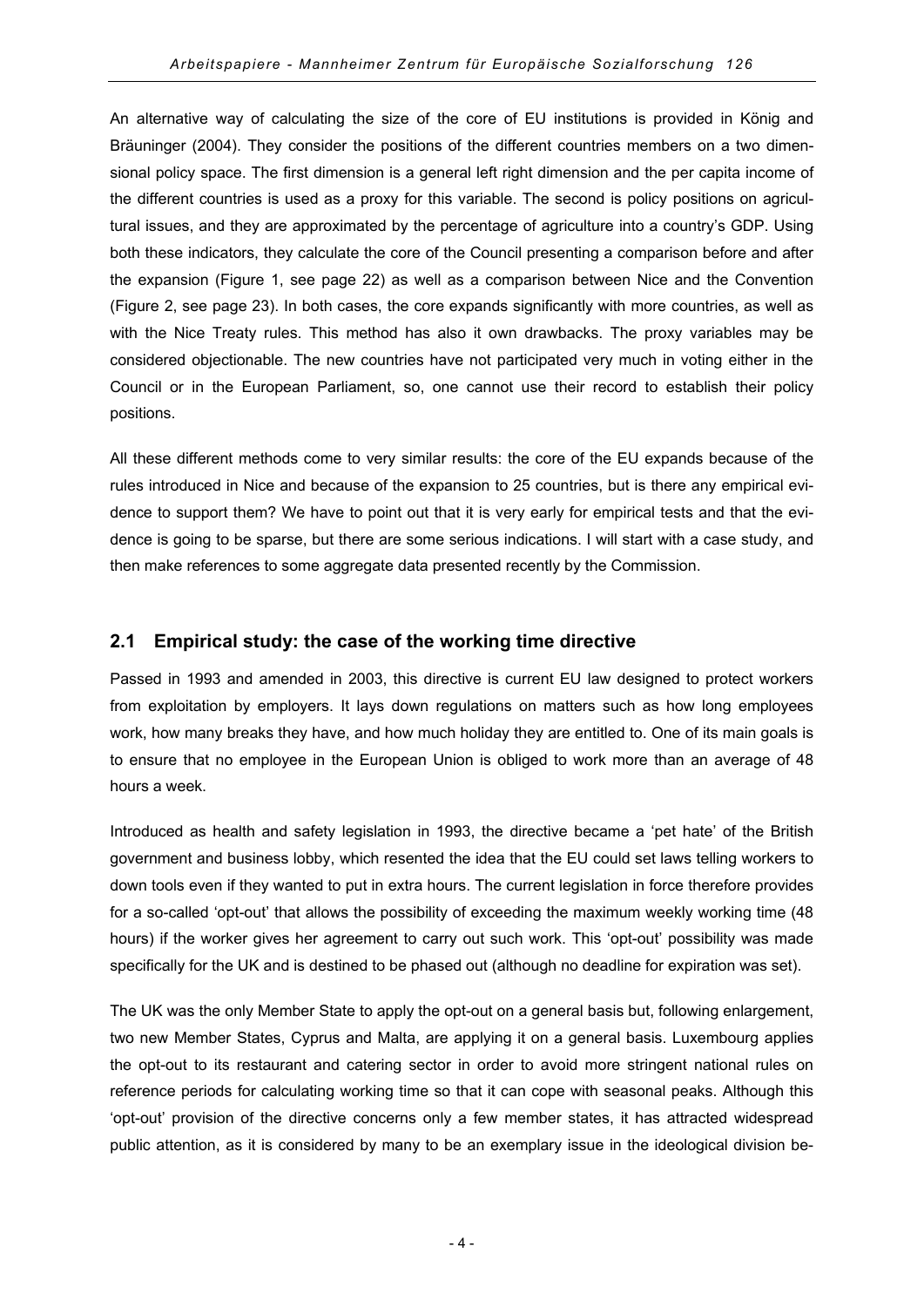<span id="page-8-0"></span>An alternative way of calculating the size of the core of EU institutions is provided in König and Bräuninger (2004). They consider the positions of the different countries members on a two dimensional policy space. The first dimension is a general left right dimension and the per capita income of the different countries is used as a proxy for this variable. The second is policy positions on agricultural issues, and they are approximated by the percentage of agriculture into a country's GDP. Using both these indicators, they calculate the core of the Council presenting a comparison before and after the expansion (Figure 1, see page [2](#page-26-2)2) as well as a comparison between Nice and the Convention (Figure 2, see page [2](#page-27-0)3). In both cases, the core expands significantly with more countries, as well as with the Nice Treaty rules. This method has also it own drawbacks. The proxy variables may be considered objectionable. The new countries have not participated very much in voting either in the Council or in the European Parliament, so, one cannot use their record to establish their policy positions.

All these different methods come to very similar results: the core of the EU expands because of the rules introduced in Nice and because of the expansion to 25 countries, but is there any empirical evidence to support them? We have to point out that it is very early for empirical tests and that the evidence is going to be sparse, but there are some serious indications. I will start with a case study, and then make references to some aggregate data presented recently by the Commission.

#### <span id="page-8-1"></span>**2.1 Empirical study: the case of the working time directive**

Passed in 1993 and amended in 2003, this directive is current EU law designed to protect workers from exploitation by employers. It lays down regulations on matters such as how long employees work, how many breaks they have, and how much holiday they are entitled to. One of its main goals is to ensure that no employee in the European Union is obliged to work more than an average of 48 hours a week.

Introduced as health and safety legislation in 1993, the directive became a 'pet hate' of the British government and business lobby, which resented the idea that the EU could set laws telling workers to down tools even if they wanted to put in extra hours. The current legislation in force therefore provides for a so-called 'opt-out' that allows the possibility of exceeding the maximum weekly working time (48 hours) if the worker gives her agreement to carry out such work. This 'opt-out' possibility was made specifically for the UK and is destined to be phased out (although no deadline for expiration was set).

The UK was the only Member State to apply the opt-out on a general basis but, following enlargement, two new Member States, Cyprus and Malta, are applying it on a general basis. Luxembourg applies the opt-out to its restaurant and catering sector in order to avoid more stringent national rules on reference periods for calculating working time so that it can cope with seasonal peaks. Although this 'opt-out' provision of the directive concerns only a few member states, it has attracted widespread public attention, as it is considered by many to be an exemplary issue in the ideological division be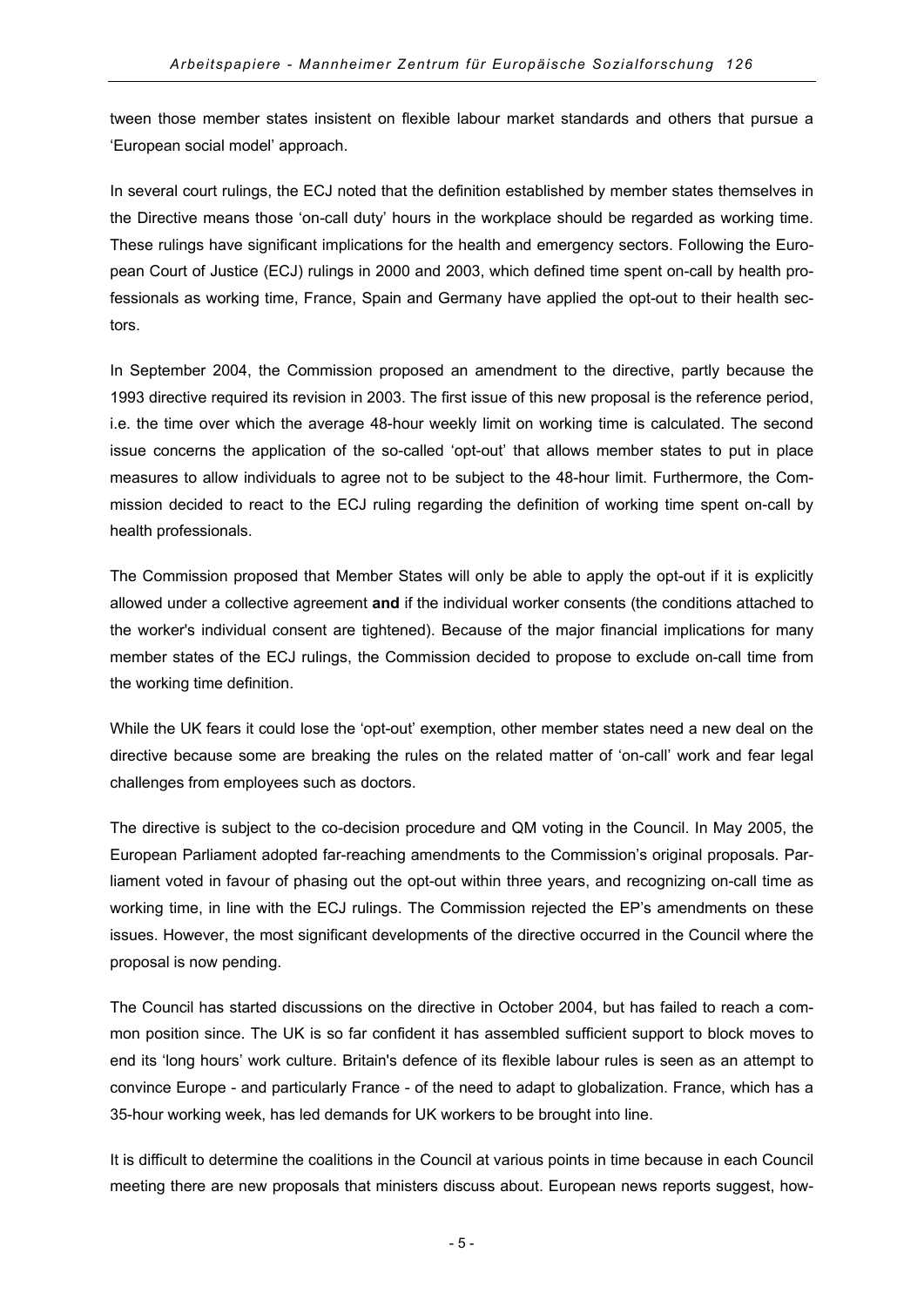tween those member states insistent on flexible labour market standards and others that pursue a 'European social model' approach.

In several court rulings, the ECJ noted that the definition established by member states themselves in the Directive means those 'on-call duty' hours in the workplace should be regarded as working time. These rulings have significant implications for the health and emergency sectors. Following the European Court of Justice (ECJ) rulings in 2000 and 2003, which defined time spent on-call by health professionals as working time, France, Spain and Germany have applied the opt-out to their health sectors.

In September 2004, the Commission proposed an amendment to the directive, partly because the 1993 directive required its revision in 2003. The first issue of this new proposal is the reference period, i.e. the time over which the average 48-hour weekly limit on working time is calculated. The second issue concerns the application of the so-called 'opt-out' that allows member states to put in place measures to allow individuals to agree not to be subject to the 48-hour limit. Furthermore, the Commission decided to react to the ECJ ruling regarding the definition of working time spent on-call by health professionals.

The Commission proposed that Member States will only be able to apply the opt-out if it is explicitly allowed under a collective agreement **and** if the individual worker consents (the conditions attached to the worker's individual consent are tightened). Because of the major financial implications for many member states of the ECJ rulings, the Commission decided to propose to exclude on-call time from the working time definition.

While the UK fears it could lose the 'opt-out' exemption, other member states need a new deal on the directive because some are breaking the rules on the related matter of 'on-call' work and fear legal challenges from employees such as doctors.

The directive is subject to the co-decision procedure and QM voting in the Council. In May 2005, the European Parliament adopted far-reaching amendments to the Commission's original proposals. Parliament voted in favour of phasing out the opt-out within three years, and recognizing on-call time as working time, in line with the ECJ rulings. The Commission rejected the EP's amendments on these issues. However, the most significant developments of the directive occurred in the Council where the proposal is now pending.

The Council has started discussions on the directive in October 2004, but has failed to reach a common position since. The UK is so far confident it has assembled sufficient support to block moves to end its 'long hours' work culture. Britain's defence of its flexible labour rules is seen as an attempt to convince Europe - and particularly France - of the need to adapt to globalization. France, which has a 35-hour working week, has led demands for UK workers to be brought into line.

It is difficult to determine the coalitions in the Council at various points in time because in each Council meeting there are new proposals that ministers discuss about. European news reports suggest, how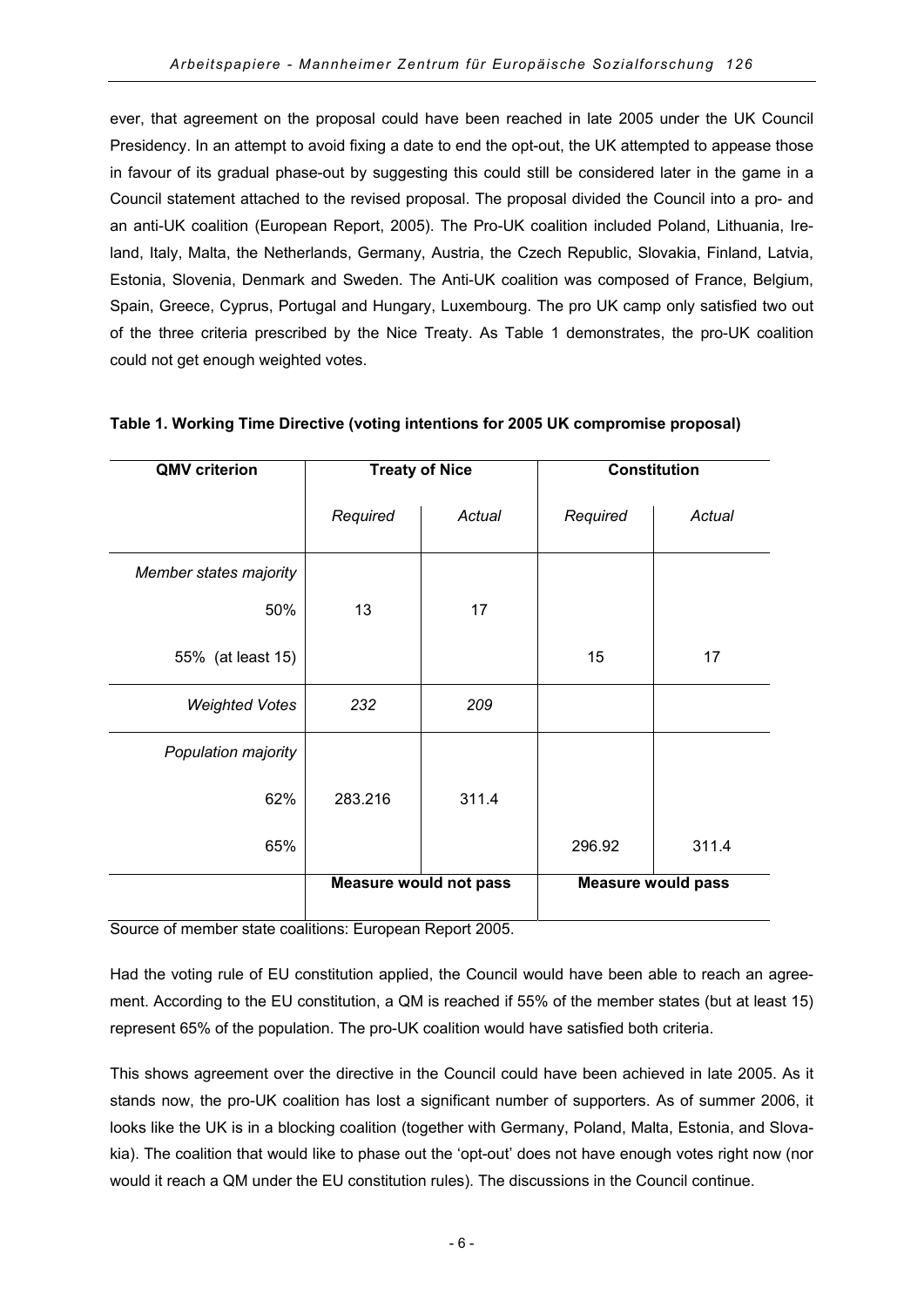ever, that agreement on the proposal could have been reached in late 2005 under the UK Council Presidency. In an attempt to avoid fixing a date to end the opt-out, the UK attempted to appease those in favour of its gradual phase-out by suggesting this could still be considered later in the game in a Council statement attached to the revised proposal. The proposal divided the Council into a pro- and an anti-UK coalition (European Report, 2005). The Pro-UK coalition included Poland, Lithuania, Ireland, Italy, Malta, the Netherlands, Germany, Austria, the Czech Republic, Slovakia, Finland, Latvia, Estonia, Slovenia, Denmark and Sweden. The Anti-UK coalition was composed of France, Belgium, Spain, Greece, Cyprus, Portugal and Hungary, Luxembourg. The pro UK camp only satisfied two out of the three criteria prescribed by the Nice Treaty. As Table 1 demonstrates, the pro-UK coalition could not get enough weighted votes.

| <b>QMV criterion</b>   |                               | <b>Treaty of Nice</b> | <b>Constitution</b>       |        |  |
|------------------------|-------------------------------|-----------------------|---------------------------|--------|--|
|                        | Required                      | Actual                | Required                  | Actual |  |
| Member states majority |                               |                       |                           |        |  |
| 50%                    | 13                            | 17                    |                           |        |  |
| 55% (at least 15)      |                               |                       | 15                        | 17     |  |
| <b>Weighted Votes</b>  | 232                           | 209                   |                           |        |  |
| Population majority    |                               |                       |                           |        |  |
| 62%                    | 283.216                       | 311.4                 |                           |        |  |
| 65%                    |                               |                       | 296.92                    | 311.4  |  |
|                        | <b>Measure would not pass</b> |                       | <b>Measure would pass</b> |        |  |

| Table 1. Working Time Directive (voting intentions for 2005 UK compromise proposal) |  |  |  |
|-------------------------------------------------------------------------------------|--|--|--|
|                                                                                     |  |  |  |

Source of member state coalitions: European Report 2005.

Had the voting rule of EU constitution applied, the Council would have been able to reach an agreement. According to the EU constitution, a QM is reached if 55% of the member states (but at least 15) represent 65% of the population. The pro-UK coalition would have satisfied both criteria.

This shows agreement over the directive in the Council could have been achieved in late 2005. As it stands now, the pro-UK coalition has lost a significant number of supporters. As of summer 2006, it looks like the UK is in a blocking coalition (together with Germany, Poland, Malta, Estonia, and Slovakia). The coalition that would like to phase out the 'opt-out' does not have enough votes right now (nor would it reach a QM under the EU constitution rules). The discussions in the Council continue.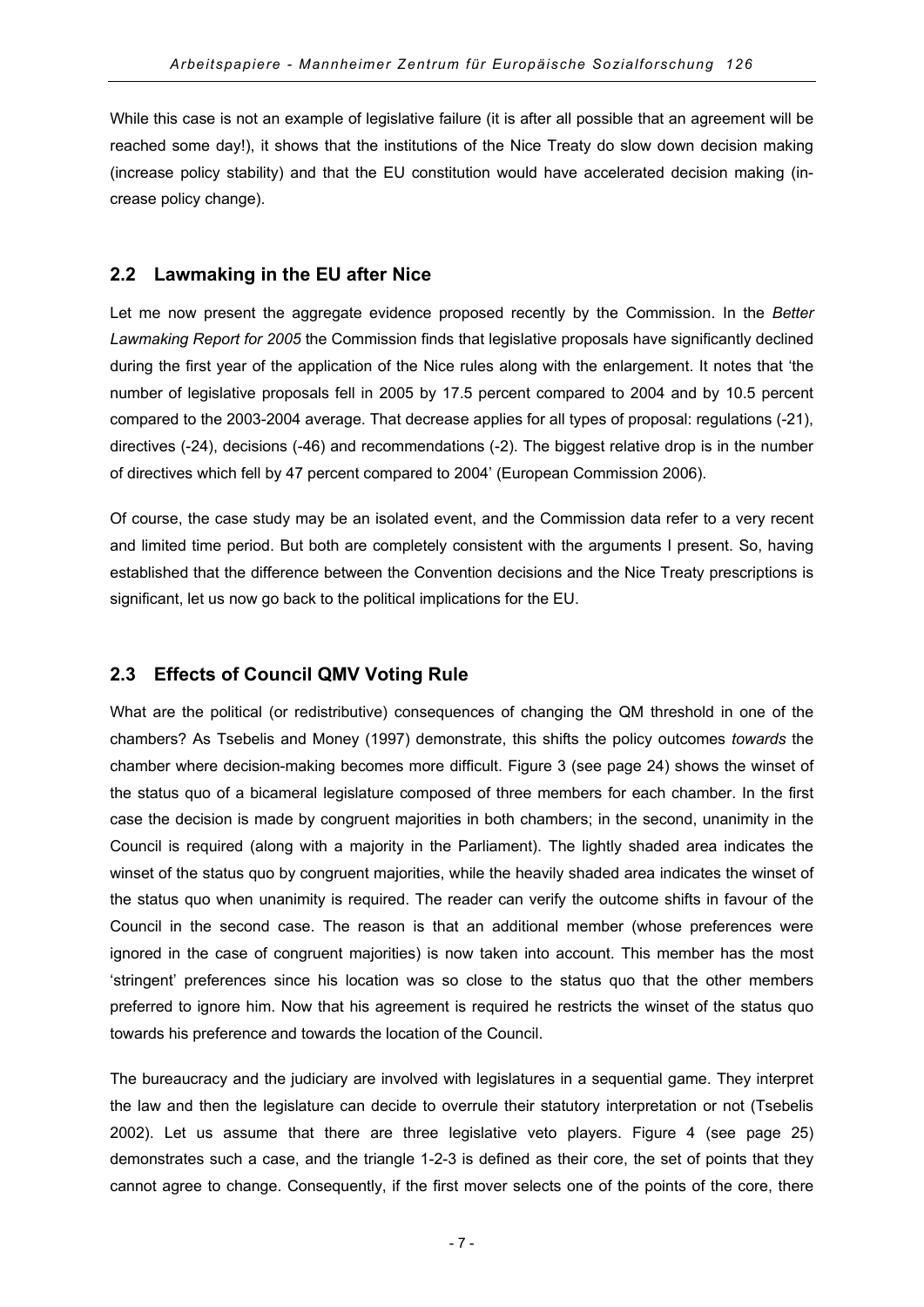<span id="page-11-0"></span>While this case is not an example of legislative failure (it is after all possible that an agreement will be reached some day!), it shows that the institutions of the Nice Treaty do slow down decision making (increase policy stability) and that the EU constitution would have accelerated decision making (increase policy change).

#### <span id="page-11-1"></span>**2.2 Lawmaking in the EU after Nice**

Let me now present the aggregate evidence proposed recently by the Commission. In the *Better Lawmaking Report for 2005* the Commission finds that legislative proposals have significantly declined during the first year of the application of the Nice rules along with the enlargement. It notes that 'the number of legislative proposals fell in 2005 by 17.5 percent compared to 2004 and by 10.5 percent compared to the 2003-2004 average. That decrease applies for all types of proposal: regulations (-21), directives (-24), decisions (-46) and recommendations (-2). The biggest relative drop is in the number of directives which fell by 47 percent compared to 2004' (European Commission 2006).

Of course, the case study may be an isolated event, and the Commission data refer to a very recent and limited time period. But both are completely consistent with the arguments I present. So, having established that the difference between the Convention decisions and the Nice Treaty prescriptions is significant, let us now go back to the political implications for the EU.

#### <span id="page-11-2"></span>**2.3 Effects of Council QMV Voting Rule**

What are the political (or redistributive) consequences of changing the QM threshold in one of the chambers? As Tsebelis and Money (1997) demonstrate, this shifts the policy outcomes *towards* the chamber where decision-making becomes more difficult. Figure 3 (see page [24](#page-28-0)) shows the winset of the status quo of a bicameral legislature composed of three members for each chamber. In the first case the decision is made by congruent majorities in both chambers; in the second, unanimity in the Council is required (along with a majority in the Parliament). The lightly shaded area indicates the winset of the status quo by congruent majorities, while the heavily shaded area indicates the winset of the status quo when unanimity is required. The reader can verify the outcome shifts in favour of the Council in the second case. The reason is that an additional member (whose preferences were ignored in the case of congruent majorities) is now taken into account. This member has the most 'stringent' preferences since his location was so close to the status quo that the other members preferred to ignore him. Now that his agreement is required he restricts the winset of the status quo towards his preference and towards the location of the Council.

The bureaucracy and the judiciary are involved with legislatures in a sequential game. They interpret the law and then the legislature can decide to overrule their statutory interpretation or not (Tsebelis 2002). Let us assume that there are three legislative veto players. Figure 4 (see page [25](#page-29-0)) demonstrates such a case, and the triangle 1-2-3 is defined as their core, the set of points that they cannot agree to change. Consequently, if the first mover selects one of the points of the core, there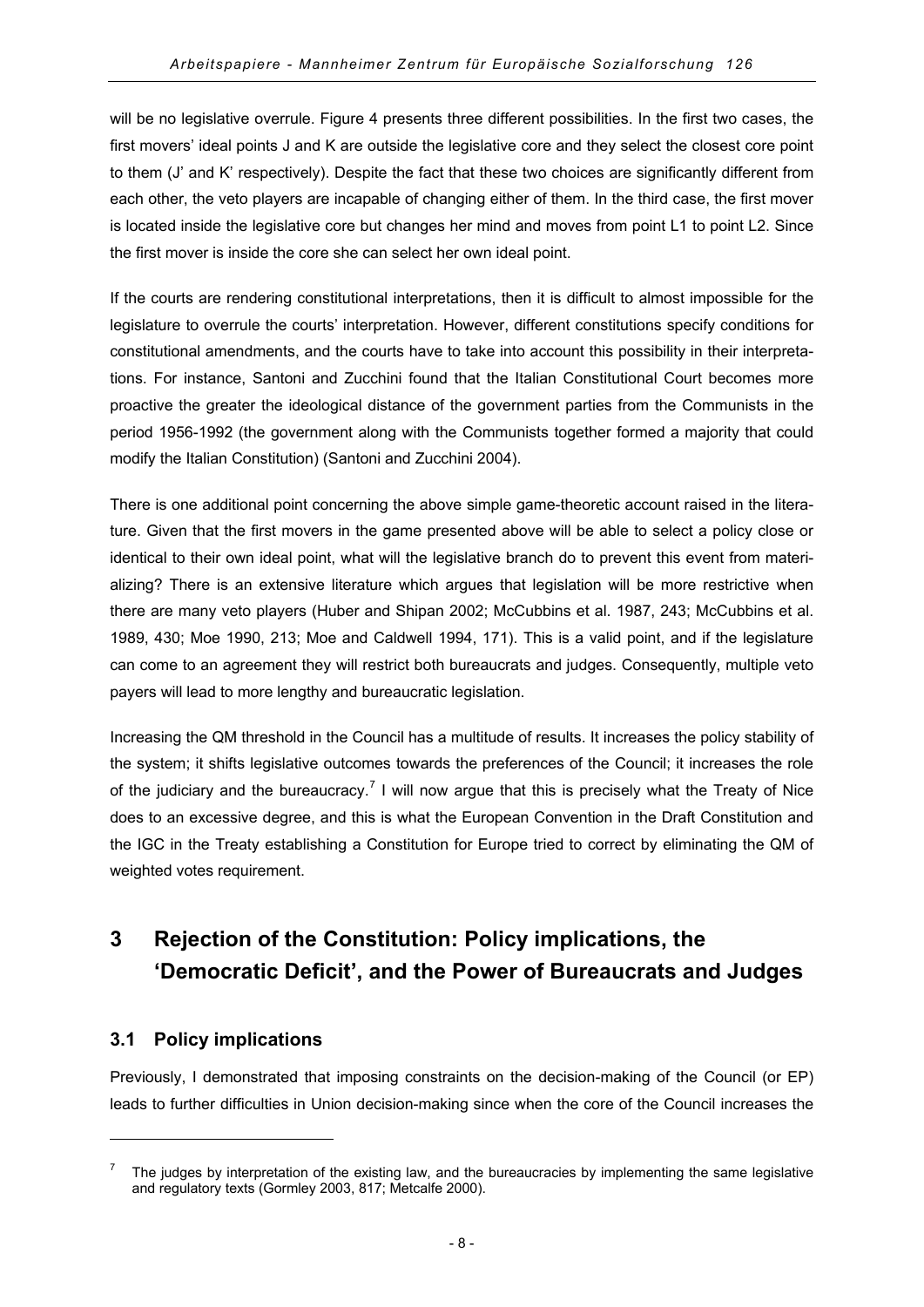<span id="page-12-0"></span>will be no legislative overrule. Figure 4 presents three different possibilities. In the first two cases, the first movers' ideal points J and K are outside the legislative core and they select the closest core point to them (J' and K' respectively). Despite the fact that these two choices are significantly different from each other, the veto players are incapable of changing either of them. In the third case, the first mover is located inside the legislative core but changes her mind and moves from point L1 to point L2. Since the first mover is inside the core she can select her own ideal point.

If the courts are rendering constitutional interpretations, then it is difficult to almost impossible for the legislature to overrule the courts' interpretation. However, different constitutions specify conditions for constitutional amendments, and the courts have to take into account this possibility in their interpretations. For instance, Santoni and Zucchini found that the Italian Constitutional Court becomes more proactive the greater the ideological distance of the government parties from the Communists in the period 1956-1992 (the government along with the Communists together formed a majority that could modify the Italian Constitution) (Santoni and Zucchini 2004).

There is one additional point concerning the above simple game-theoretic account raised in the literature. Given that the first movers in the game presented above will be able to select a policy close or identical to their own ideal point, what will the legislative branch do to prevent this event from materializing? There is an extensive literature which argues that legislation will be more restrictive when there are many veto players (Huber and Shipan 2002; McCubbins et al. 1987, 243; McCubbins et al. 1989, 430; Moe 1990, 213; Moe and Caldwell 1994, 171). This is a valid point, and if the legislature can come to an agreement they will restrict both bureaucrats and judges. Consequently, multiple veto payers will lead to more lengthy and bureaucratic legislation.

Increasing the QM threshold in the Council has a multitude of results. It increases the policy stability of the system; it shifts legislative outcomes towards the preferences of the Council; it increases the role of the judiciary and the bureaucracy.<sup>[7](#page-12-3)</sup> I will now argue that this is precisely what the Treaty of Nice does to an excessive degree, and this is what the European Convention in the Draft Constitution and the IGC in the Treaty establishing a Constitution for Europe tried to correct by eliminating the QM of weighted votes requirement.

## <span id="page-12-1"></span>**3 Rejection of the Constitution: Policy implications, the 'Democratic Deficit', and the Power of Bureaucrats and Judges**

#### <span id="page-12-2"></span>**3.1 Policy implications**

1

Previously, I demonstrated that imposing constraints on the decision-making of the Council (or EP) leads to further difficulties in Union decision-making since when the core of the Council increases the

<span id="page-12-3"></span><sup>7</sup> The judges by interpretation of the existing law, and the bureaucracies by implementing the same legislative and regulatory texts (Gormley 2003, 817; Metcalfe 2000).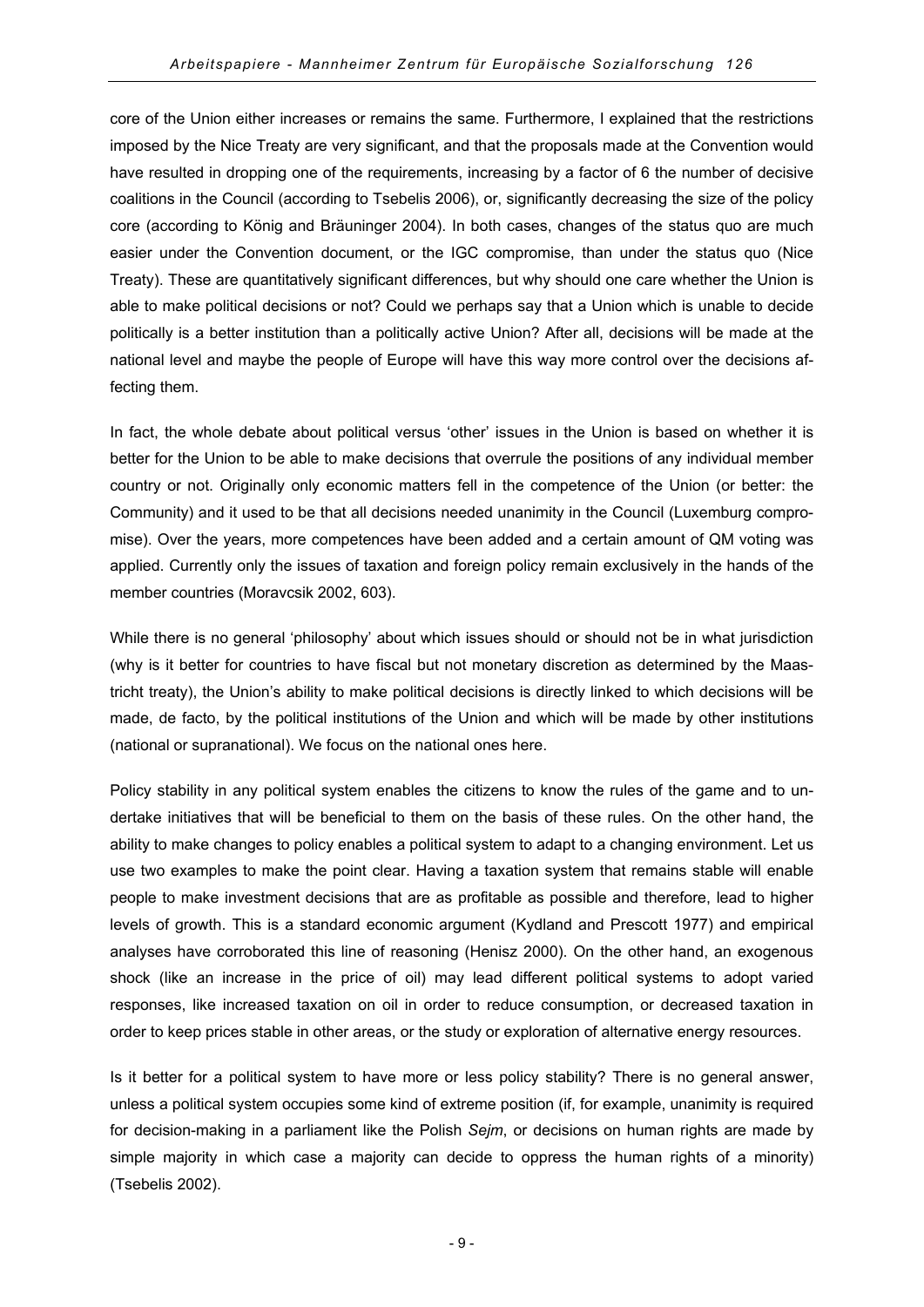core of the Union either increases or remains the same. Furthermore, I explained that the restrictions imposed by the Nice Treaty are very significant, and that the proposals made at the Convention would have resulted in dropping one of the requirements, increasing by a factor of 6 the number of decisive coalitions in the Council (according to Tsebelis 2006), or, significantly decreasing the size of the policy core (according to König and Bräuninger 2004). In both cases, changes of the status quo are much easier under the Convention document, or the IGC compromise, than under the status quo (Nice Treaty). These are quantitatively significant differences, but why should one care whether the Union is able to make political decisions or not? Could we perhaps say that a Union which is unable to decide politically is a better institution than a politically active Union? After all, decisions will be made at the national level and maybe the people of Europe will have this way more control over the decisions affecting them.

In fact, the whole debate about political versus 'other' issues in the Union is based on whether it is better for the Union to be able to make decisions that overrule the positions of any individual member country or not. Originally only economic matters fell in the competence of the Union (or better: the Community) and it used to be that all decisions needed unanimity in the Council (Luxemburg compromise). Over the years, more competences have been added and a certain amount of QM voting was applied. Currently only the issues of taxation and foreign policy remain exclusively in the hands of the member countries (Moravcsik 2002, 603).

While there is no general 'philosophy' about which issues should or should not be in what jurisdiction (why is it better for countries to have fiscal but not monetary discretion as determined by the Maastricht treaty), the Union's ability to make political decisions is directly linked to which decisions will be made, de facto, by the political institutions of the Union and which will be made by other institutions (national or supranational). We focus on the national ones here.

Policy stability in any political system enables the citizens to know the rules of the game and to undertake initiatives that will be beneficial to them on the basis of these rules. On the other hand, the ability to make changes to policy enables a political system to adapt to a changing environment. Let us use two examples to make the point clear. Having a taxation system that remains stable will enable people to make investment decisions that are as profitable as possible and therefore, lead to higher levels of growth. This is a standard economic argument (Kydland and Prescott 1977) and empirical analyses have corroborated this line of reasoning (Henisz 2000). On the other hand, an exogenous shock (like an increase in the price of oil) may lead different political systems to adopt varied responses, like increased taxation on oil in order to reduce consumption, or decreased taxation in order to keep prices stable in other areas, or the study or exploration of alternative energy resources.

Is it better for a political system to have more or less policy stability? There is no general answer, unless a political system occupies some kind of extreme position (if, for example, unanimity is required for decision-making in a parliament like the Polish *Sejm*, or decisions on human rights are made by simple majority in which case a majority can decide to oppress the human rights of a minority) (Tsebelis 2002).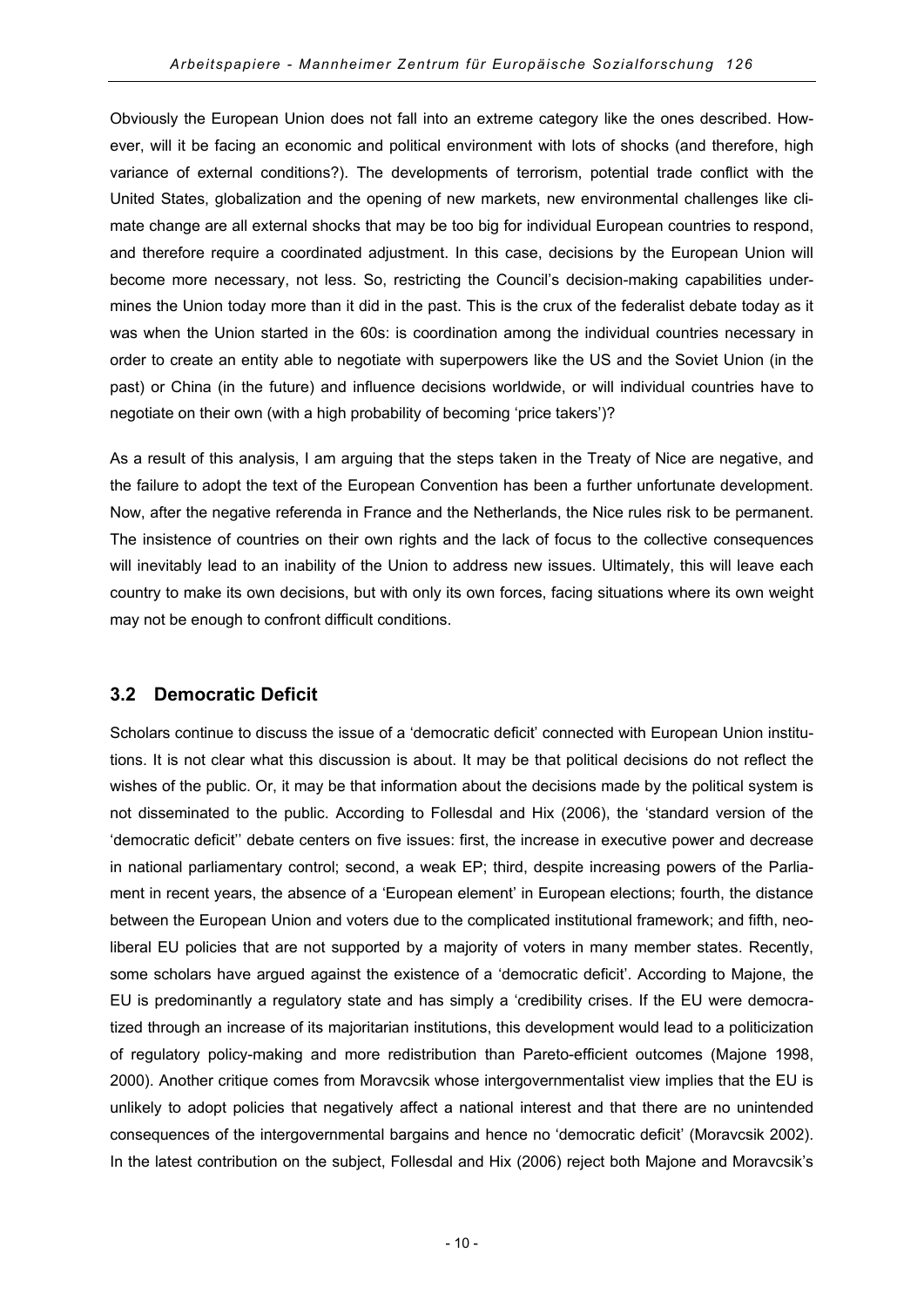<span id="page-14-0"></span>Obviously the European Union does not fall into an extreme category like the ones described. However, will it be facing an economic and political environment with lots of shocks (and therefore, high variance of external conditions?). The developments of terrorism, potential trade conflict with the United States, globalization and the opening of new markets, new environmental challenges like climate change are all external shocks that may be too big for individual European countries to respond, and therefore require a coordinated adjustment. In this case, decisions by the European Union will become more necessary, not less. So, restricting the Council's decision-making capabilities undermines the Union today more than it did in the past. This is the crux of the federalist debate today as it was when the Union started in the 60s: is coordination among the individual countries necessary in order to create an entity able to negotiate with superpowers like the US and the Soviet Union (in the past) or China (in the future) and influence decisions worldwide, or will individual countries have to negotiate on their own (with a high probability of becoming 'price takers')?

As a result of this analysis, I am arguing that the steps taken in the Treaty of Nice are negative, and the failure to adopt the text of the European Convention has been a further unfortunate development. Now, after the negative referenda in France and the Netherlands, the Nice rules risk to be permanent. The insistence of countries on their own rights and the lack of focus to the collective consequences will inevitably lead to an inability of the Union to address new issues. Ultimately, this will leave each country to make its own decisions, but with only its own forces, facing situations where its own weight may not be enough to confront difficult conditions.

#### <span id="page-14-1"></span>**3.2 Democratic Deficit**

Scholars continue to discuss the issue of a 'democratic deficit' connected with European Union institutions. It is not clear what this discussion is about. It may be that political decisions do not reflect the wishes of the public. Or, it may be that information about the decisions made by the political system is not disseminated to the public. According to Follesdal and Hix (2006), the 'standard version of the 'democratic deficit'' debate centers on five issues: first, the increase in executive power and decrease in national parliamentary control; second, a weak EP; third, despite increasing powers of the Parliament in recent years, the absence of a 'European element' in European elections; fourth, the distance between the European Union and voters due to the complicated institutional framework; and fifth, neoliberal EU policies that are not supported by a majority of voters in many member states. Recently, some scholars have argued against the existence of a 'democratic deficit'. According to Majone, the EU is predominantly a regulatory state and has simply a 'credibility crises. If the EU were democratized through an increase of its majoritarian institutions, this development would lead to a politicization of regulatory policy-making and more redistribution than Pareto-efficient outcomes (Majone 1998, 2000). Another critique comes from Moravcsik whose intergovernmentalist view implies that the EU is unlikely to adopt policies that negatively affect a national interest and that there are no unintended consequences of the intergovernmental bargains and hence no 'democratic deficit' (Moravcsik 2002). In the latest contribution on the subject, Follesdal and Hix (2006) reject both Majone and Moravcsik's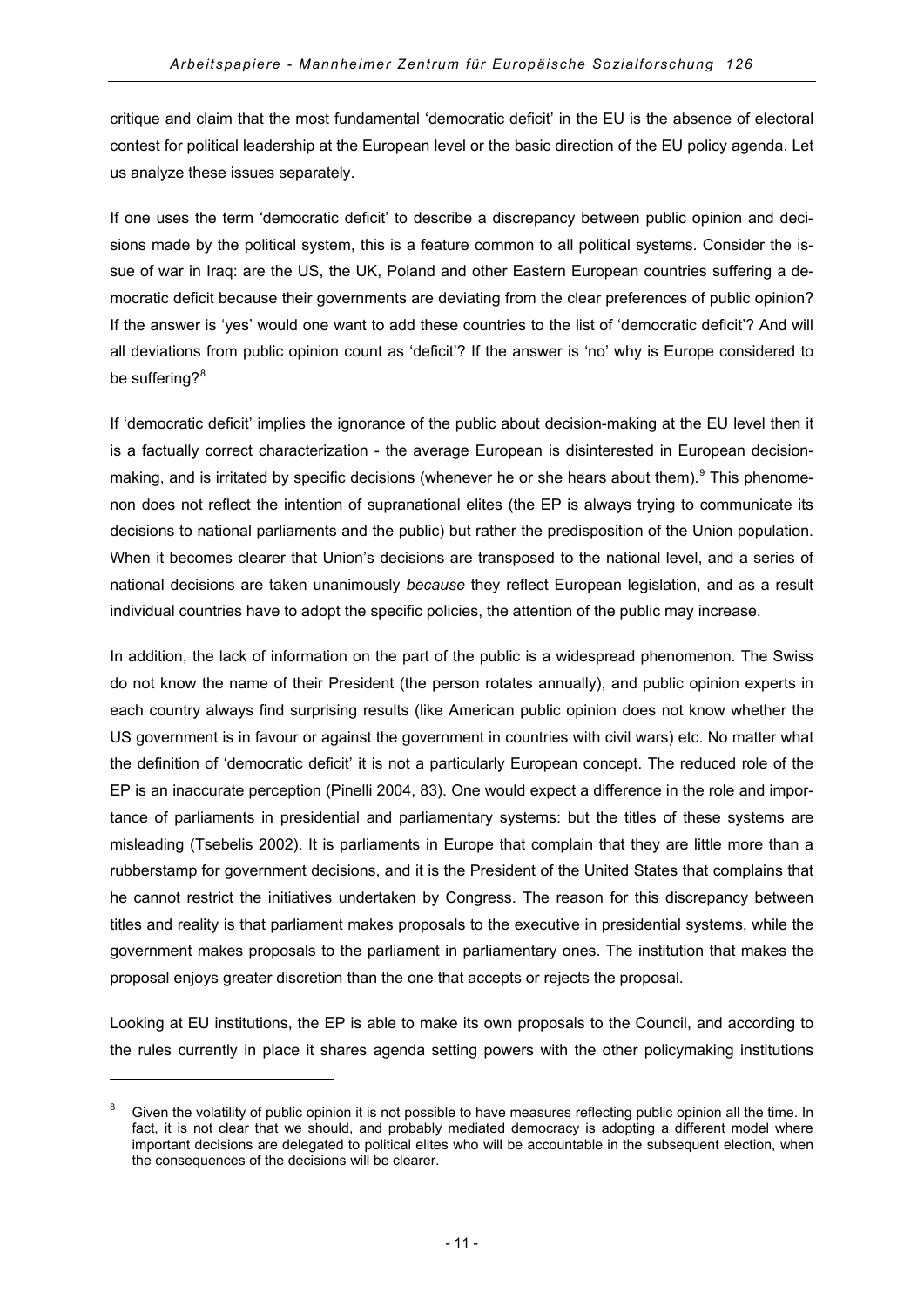critique and claim that the most fundamental 'democratic deficit' in the EU is the absence of electoral contest for political leadership at the European level or the basic direction of the EU policy agenda. Let us analyze these issues separately.

If one uses the term 'democratic deficit' to describe a discrepancy between public opinion and decisions made by the political system, this is a feature common to all political systems. Consider the issue of war in Iraq: are the US, the UK, Poland and other Eastern European countries suffering a democratic deficit because their governments are deviating from the clear preferences of public opinion? If the answer is 'yes' would one want to add these countries to the list of 'democratic deficit'? And will all deviations from public opinion count as 'deficit'? If the answer is 'no' why is Europe considered to be suffering?<sup>[8](#page-15-0)</sup>

If 'democratic deficit' implies the ignorance of the public about decision-making at the EU level then it is a factually correct characterization - the average European is disinterested in European decisionmaking, and is irritated by specific decisions (whenever he or she hears about them). This phenomenon does not reflect the intention of supranational elites (the EP is always trying to communicate its decisions to national parliaments and the public) but rather the predisposition of the Union population. When it becomes clearer that Union's decisions are transposed to the national level, and a series of national decisions are taken unanimously *because* they reflect European legislation, and as a result individual countries have to adopt the specific policies, the attention of the public may increase.

In addition, the lack of information on the part of the public is a widespread phenomenon. The Swiss do not know the name of their President (the person rotates annually), and public opinion experts in each country always find surprising results (like American public opinion does not know whether the US government is in favour or against the government in countries with civil wars) etc. No matter what the definition of 'democratic deficit' it is not a particularly European concept. The reduced role of the EP is an inaccurate perception (Pinelli 2004, 83). One would expect a difference in the role and importance of parliaments in presidential and parliamentary systems: but the titles of these systems are misleading (Tsebelis 2002). It is parliaments in Europe that complain that they are little more than a rubberstamp for government decisions, and it is the President of the United States that complains that he cannot restrict the initiatives undertaken by Congress. The reason for this discrepancy between titles and reality is that parliament makes proposals to the executive in presidential systems, while the government makes proposals to the parliament in parliamentary ones. The institution that makes the proposal enjoys greater discretion than the one that accepts or rejects the proposal.

Looking at EU institutions, the EP is able to make its own proposals to the Council, and according to the rules currently in place it shares agenda setting powers with the other policymaking institutions

<span id="page-15-1"></span><span id="page-15-0"></span><sup>8</sup> Given the volatility of public opinion it is not possible to have measures reflecting public opinion all the time. In fact, it is not clear that we should, and probably mediated democracy is adopting a different model where important decisions are delegated to political elites who will be accountable in the subsequent election, when the consequences of the decisions will be clearer.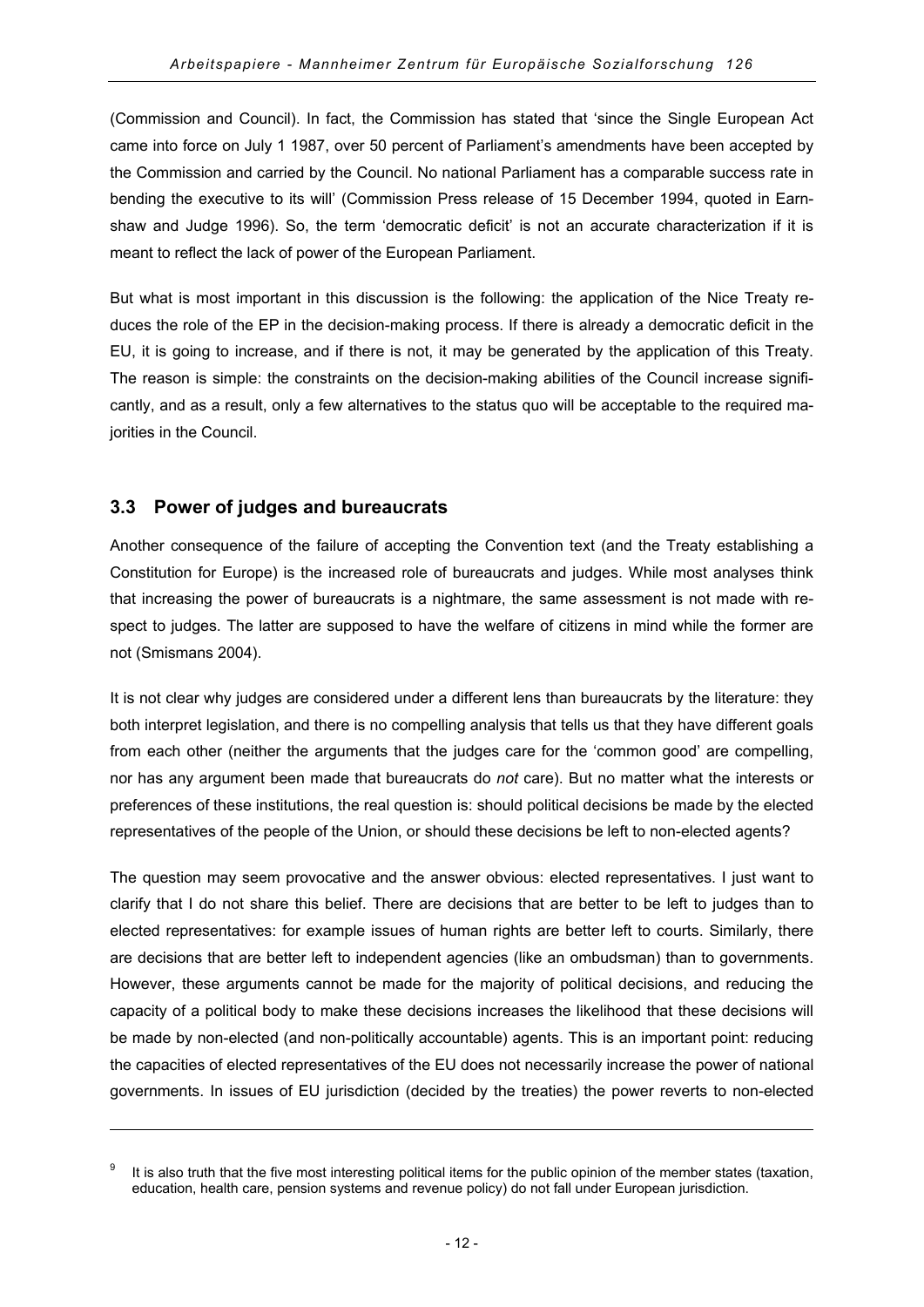<span id="page-16-0"></span>(Commission and Council). In fact, the Commission has stated that 'since the Single European Act came into force on July 1 1987, over 50 percent of Parliament's amendments have been accepted by the Commission and carried by the Council. No national Parliament has a comparable success rate in bending the executive to its will' (Commission Press release of 15 December 1994, quoted in Earnshaw and Judge 1996). So, the term 'democratic deficit' is not an accurate characterization if it is meant to reflect the lack of power of the European Parliament.

But what is most important in this discussion is the following: the application of the Nice Treaty reduces the role of the EP in the decision-making process. If there is already a democratic deficit in the EU, it is going to increase, and if there is not, it may be generated by the application of this Treaty. The reason is simple: the constraints on the decision-making abilities of the Council increase significantly, and as a result, only a few alternatives to the status quo will be acceptable to the required majorities in the Council.

#### <span id="page-16-1"></span>**3.3 Power of judges and bureaucrats**

1

Another consequence of the failure of accepting the Convention text (and the Treaty establishing a Constitution for Europe) is the increased role of bureaucrats and judges. While most analyses think that increasing the power of bureaucrats is a nightmare, the same assessment is not made with respect to judges. The latter are supposed to have the welfare of citizens in mind while the former are not (Smismans 2004).

It is not clear why judges are considered under a different lens than bureaucrats by the literature: they both interpret legislation, and there is no compelling analysis that tells us that they have different goals from each other (neither the arguments that the judges care for the 'common good' are compelling, nor has any argument been made that bureaucrats do *not* care). But no matter what the interests or preferences of these institutions, the real question is: should political decisions be made by the elected representatives of the people of the Union, or should these decisions be left to non-elected agents?

The question may seem provocative and the answer obvious: elected representatives. I just want to clarify that I do not share this belief. There are decisions that are better to be left to judges than to elected representatives: for example issues of human rights are better left to courts. Similarly, there are decisions that are better left to independent agencies (like an ombudsman) than to governments. However, these arguments cannot be made for the majority of political decisions, and reducing the capacity of a political body to make these decisions increases the likelihood that these decisions will be made by non-elected (and non-politically accountable) agents. This is an important point: reducing the capacities of elected representatives of the EU does not necessarily increase the power of national governments. In issues of EU jurisdiction (decided by the treaties) the power reverts to non-elected

<sup>9</sup> It is also truth that the five most interesting political items for the public opinion of the member states (taxation, education, health care, pension systems and revenue policy) do not fall under European jurisdiction.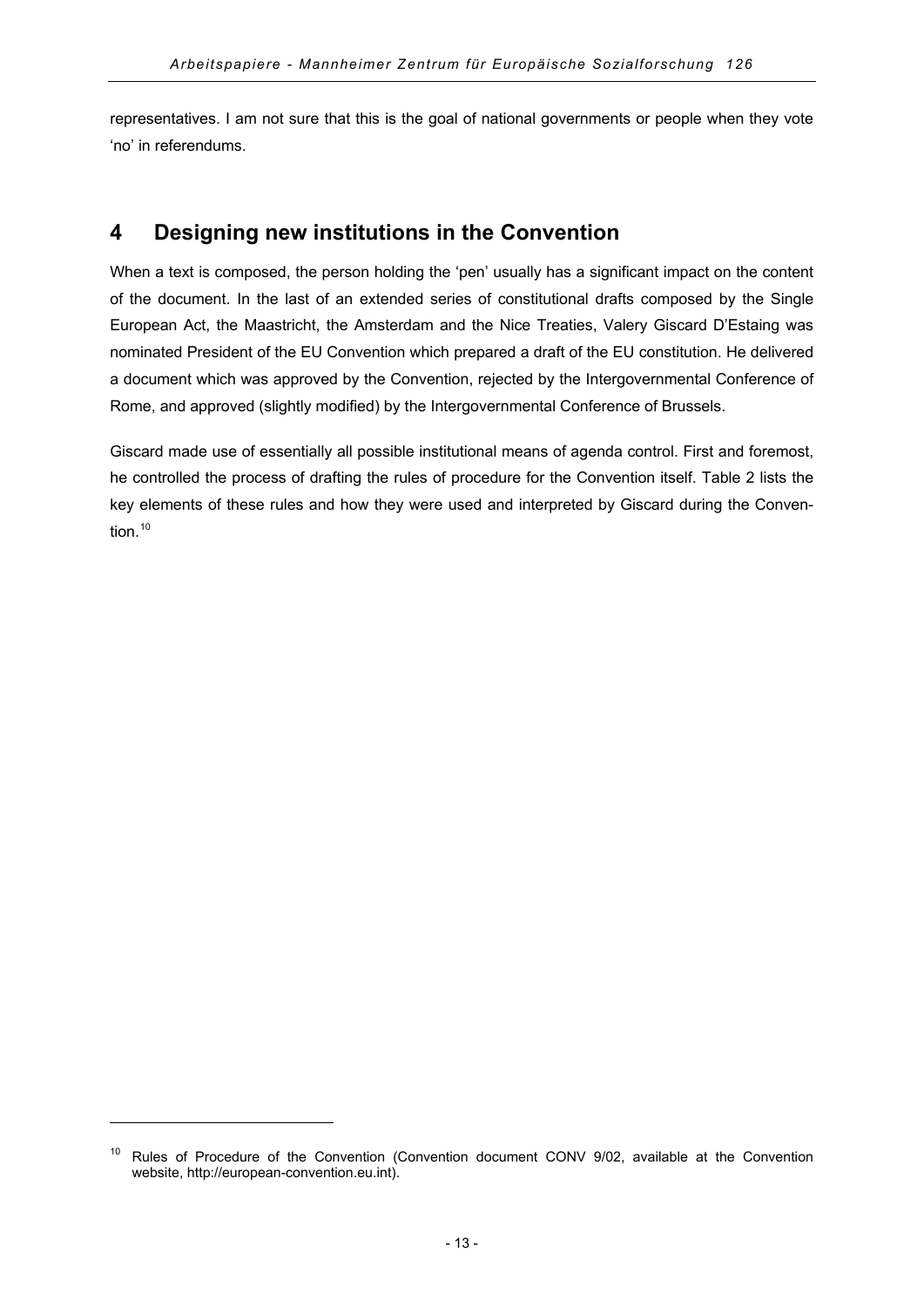<span id="page-17-0"></span>representatives. I am not sure that this is the goal of national governments or people when they vote 'no' in referendums.

## <span id="page-17-1"></span>**4 Designing new institutions in the Convention**

When a text is composed, the person holding the 'pen' usually has a significant impact on the content of the document. In the last of an extended series of constitutional drafts composed by the Single European Act, the Maastricht, the Amsterdam and the Nice Treaties, Valery Giscard D'Estaing was nominated President of the EU Convention which prepared a draft of the EU constitution. He delivered a document which was approved by the Convention, rejected by the Intergovernmental Conference of Rome, and approved (slightly modified) by the Intergovernmental Conference of Brussels.

Giscard made use of essentially all possible institutional means of agenda control. First and foremost, he controlled the process of drafting the rules of procedure for the Convention itself. Table 2 lists the key elements of these rules and how they were used and interpreted by Giscard during the Convention. $10$ 

-

<span id="page-17-2"></span><sup>&</sup>lt;sup>10</sup> Rules of Procedure of the Convention (Convention document CONV 9/02, available at the Convention website, http://european-convention.eu.int).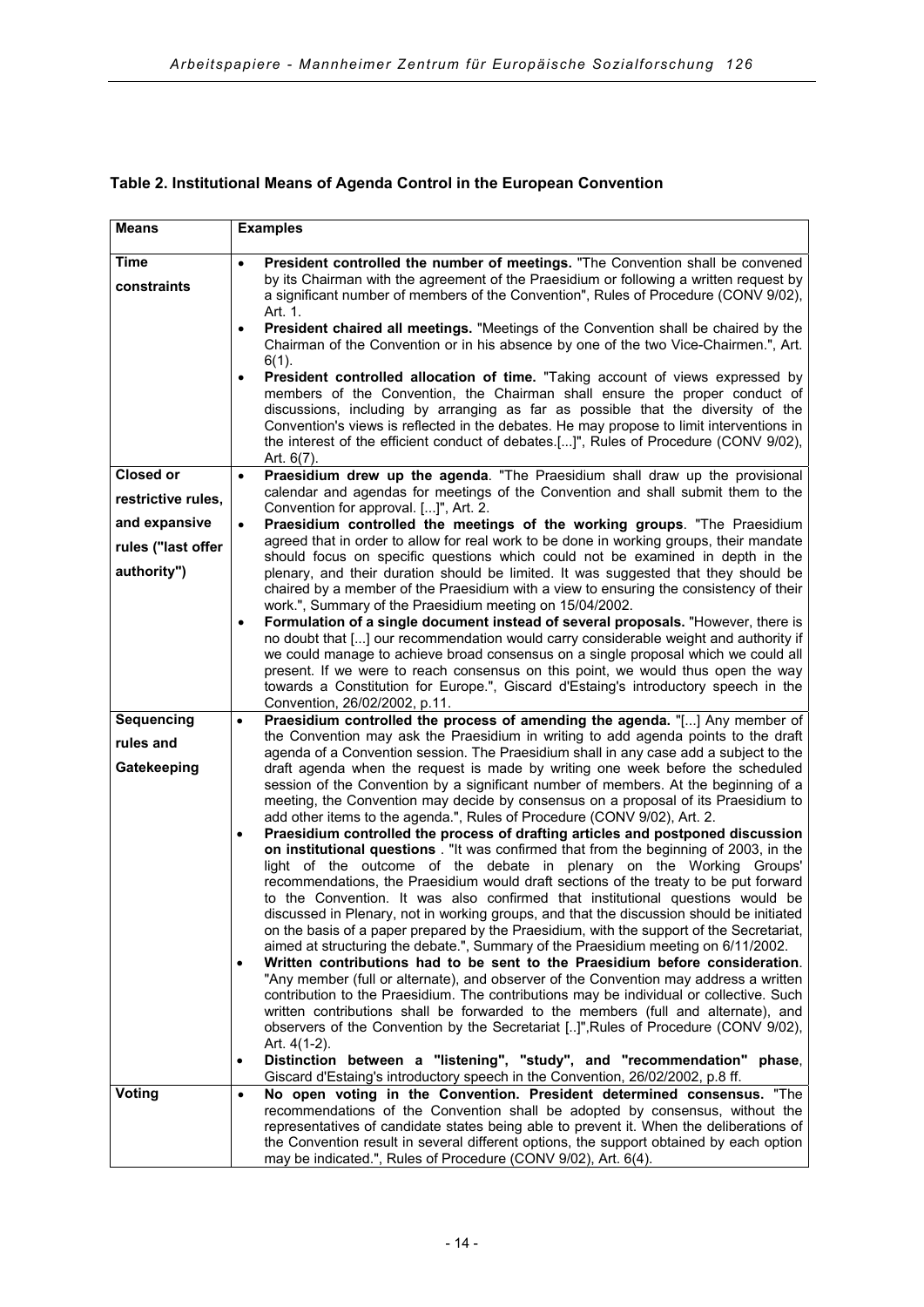|  | Table 2. Institutional Means of Agenda Control in the European Convention |  |  |  |  |  |  |
|--|---------------------------------------------------------------------------|--|--|--|--|--|--|
|--|---------------------------------------------------------------------------|--|--|--|--|--|--|

| <b>Means</b>               | <b>Examples</b>                                                                                                                                                                                                                                                                                                                                                                                                                                        |
|----------------------------|--------------------------------------------------------------------------------------------------------------------------------------------------------------------------------------------------------------------------------------------------------------------------------------------------------------------------------------------------------------------------------------------------------------------------------------------------------|
| <b>Time</b><br>constraints | President controlled the number of meetings. "The Convention shall be convened<br>$\bullet$<br>by its Chairman with the agreement of the Praesidium or following a written request by<br>a significant number of members of the Convention", Rules of Procedure (CONV 9/02),<br>Art. 1.                                                                                                                                                                |
|                            | President chaired all meetings. "Meetings of the Convention shall be chaired by the<br>٠<br>Chairman of the Convention or in his absence by one of the two Vice-Chairmen.", Art.<br>$6(1)$ .                                                                                                                                                                                                                                                           |
|                            | President controlled allocation of time. "Taking account of views expressed by<br>members of the Convention, the Chairman shall ensure the proper conduct of<br>discussions, including by arranging as far as possible that the diversity of the<br>Convention's views is reflected in the debates. He may propose to limit interventions in<br>the interest of the efficient conduct of debates.[]", Rules of Procedure (CONV 9/02),<br>Art. $6(7)$ . |
| <b>Closed or</b>           | Praesidium drew up the agenda. "The Praesidium shall draw up the provisional<br>$\bullet$<br>calendar and agendas for meetings of the Convention and shall submit them to the                                                                                                                                                                                                                                                                          |
| restrictive rules,         | Convention for approval. []", Art. 2.                                                                                                                                                                                                                                                                                                                                                                                                                  |
| and expansive              | Praesidium controlled the meetings of the working groups. "The Praesidium<br>$\bullet$                                                                                                                                                                                                                                                                                                                                                                 |
| rules ("last offer         | agreed that in order to allow for real work to be done in working groups, their mandate<br>should focus on specific questions which could not be examined in depth in the                                                                                                                                                                                                                                                                              |
| authority")                | plenary, and their duration should be limited. It was suggested that they should be                                                                                                                                                                                                                                                                                                                                                                    |
|                            | chaired by a member of the Praesidium with a view to ensuring the consistency of their                                                                                                                                                                                                                                                                                                                                                                 |
|                            | work.", Summary of the Praesidium meeting on 15/04/2002.<br>Formulation of a single document instead of several proposals. "However, there is<br>٠                                                                                                                                                                                                                                                                                                     |
|                            | no doubt that [] our recommendation would carry considerable weight and authority if<br>we could manage to achieve broad consensus on a single proposal which we could all<br>present. If we were to reach consensus on this point, we would thus open the way<br>towards a Constitution for Europe.", Giscard d'Estaing's introductory speech in the<br>Convention, 26/02/2002, p.11.                                                                 |
| Sequencing                 | Praesidium controlled the process of amending the agenda. "[] Any member of<br>$\bullet$                                                                                                                                                                                                                                                                                                                                                               |
| rules and                  | the Convention may ask the Praesidium in writing to add agenda points to the draft                                                                                                                                                                                                                                                                                                                                                                     |
| Gatekeeping                | agenda of a Convention session. The Praesidium shall in any case add a subject to the                                                                                                                                                                                                                                                                                                                                                                  |
|                            | draft agenda when the request is made by writing one week before the scheduled<br>session of the Convention by a significant number of members. At the beginning of a                                                                                                                                                                                                                                                                                  |
|                            | meeting, the Convention may decide by consensus on a proposal of its Praesidium to                                                                                                                                                                                                                                                                                                                                                                     |
|                            | add other items to the agenda.", Rules of Procedure (CONV 9/02), Art. 2.                                                                                                                                                                                                                                                                                                                                                                               |
|                            | Praesidium controlled the process of drafting articles and postponed discussion<br>on institutional questions . "It was confirmed that from the beginning of 2003, in the                                                                                                                                                                                                                                                                              |
|                            | light of the outcome of the debate in plenary on the Working Groups'                                                                                                                                                                                                                                                                                                                                                                                   |
|                            | recommendations, the Praesidium would draft sections of the treaty to be put forward                                                                                                                                                                                                                                                                                                                                                                   |
|                            | to the Convention. It was also confirmed that institutional questions would be<br>discussed in Plenary, not in working groups, and that the discussion should be initiated<br>on the basis of a paper prepared by the Praesidium, with the support of the Secretariat,                                                                                                                                                                                 |
|                            | aimed at structuring the debate.", Summary of the Praesidium meeting on 6/11/2002.                                                                                                                                                                                                                                                                                                                                                                     |
|                            | Written contributions had to be sent to the Praesidium before consideration.<br>"Any member (full or alternate), and observer of the Convention may address a written                                                                                                                                                                                                                                                                                  |
|                            | contribution to the Praesidium. The contributions may be individual or collective. Such                                                                                                                                                                                                                                                                                                                                                                |
|                            | written contributions shall be forwarded to the members (full and alternate), and                                                                                                                                                                                                                                                                                                                                                                      |
|                            | observers of the Convention by the Secretariat []", Rules of Procedure (CONV 9/02),<br>Art. $4(1-2)$ .                                                                                                                                                                                                                                                                                                                                                 |
|                            | Distinction between a "listening", "study", and "recommendation" phase,<br>$\bullet$<br>Giscard d'Estaing's introductory speech in the Convention, 26/02/2002, p.8 ff.                                                                                                                                                                                                                                                                                 |
| <b>Voting</b>              | No open voting in the Convention. President determined consensus. "The<br>٠                                                                                                                                                                                                                                                                                                                                                                            |
|                            | recommendations of the Convention shall be adopted by consensus, without the                                                                                                                                                                                                                                                                                                                                                                           |
|                            | representatives of candidate states being able to prevent it. When the deliberations of<br>the Convention result in several different options, the support obtained by each option                                                                                                                                                                                                                                                                     |
|                            | may be indicated.", Rules of Procedure (CONV 9/02), Art. 6(4).                                                                                                                                                                                                                                                                                                                                                                                         |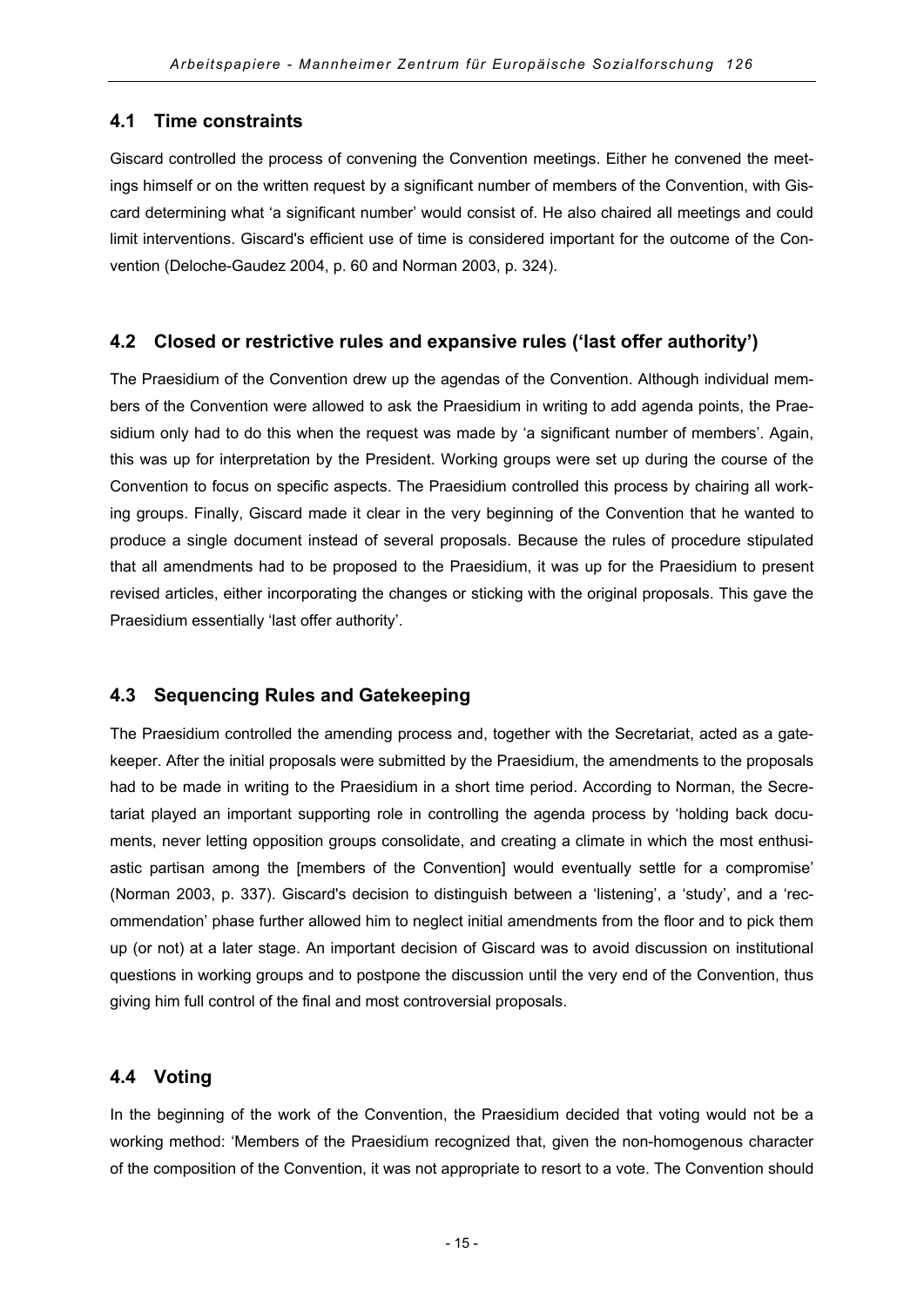#### <span id="page-19-1"></span><span id="page-19-0"></span>**4.1 Time constraints**

Giscard controlled the process of convening the Convention meetings. Either he convened the meetings himself or on the written request by a significant number of members of the Convention, with Giscard determining what 'a significant number' would consist of. He also chaired all meetings and could limit interventions. Giscard's efficient use of time is considered important for the outcome of the Convention (Deloche-Gaudez 2004, p. 60 and Norman 2003, p. 324).

#### <span id="page-19-2"></span>**4.2 Closed or restrictive rules and expansive rules ('last offer authority')**

The Praesidium of the Convention drew up the agendas of the Convention. Although individual members of the Convention were allowed to ask the Praesidium in writing to add agenda points, the Praesidium only had to do this when the request was made by 'a significant number of members'. Again, this was up for interpretation by the President. Working groups were set up during the course of the Convention to focus on specific aspects. The Praesidium controlled this process by chairing all working groups. Finally, Giscard made it clear in the very beginning of the Convention that he wanted to produce a single document instead of several proposals. Because the rules of procedure stipulated that all amendments had to be proposed to the Praesidium, it was up for the Praesidium to present revised articles, either incorporating the changes or sticking with the original proposals. This gave the Praesidium essentially 'last offer authority'.

#### <span id="page-19-3"></span>**4.3 Sequencing Rules and Gatekeeping**

The Praesidium controlled the amending process and, together with the Secretariat, acted as a gatekeeper. After the initial proposals were submitted by the Praesidium, the amendments to the proposals had to be made in writing to the Praesidium in a short time period. According to Norman, the Secretariat played an important supporting role in controlling the agenda process by 'holding back documents, never letting opposition groups consolidate, and creating a climate in which the most enthusiastic partisan among the [members of the Convention] would eventually settle for a compromise' (Norman 2003, p. 337). Giscard's decision to distinguish between a 'listening', a 'study', and a 'recommendation' phase further allowed him to neglect initial amendments from the floor and to pick them up (or not) at a later stage. An important decision of Giscard was to avoid discussion on institutional questions in working groups and to postpone the discussion until the very end of the Convention, thus giving him full control of the final and most controversial proposals.

#### <span id="page-19-4"></span>**4.4 Voting**

In the beginning of the work of the Convention, the Praesidium decided that voting would not be a working method: 'Members of the Praesidium recognized that, given the non-homogenous character of the composition of the Convention, it was not appropriate to resort to a vote. The Convention should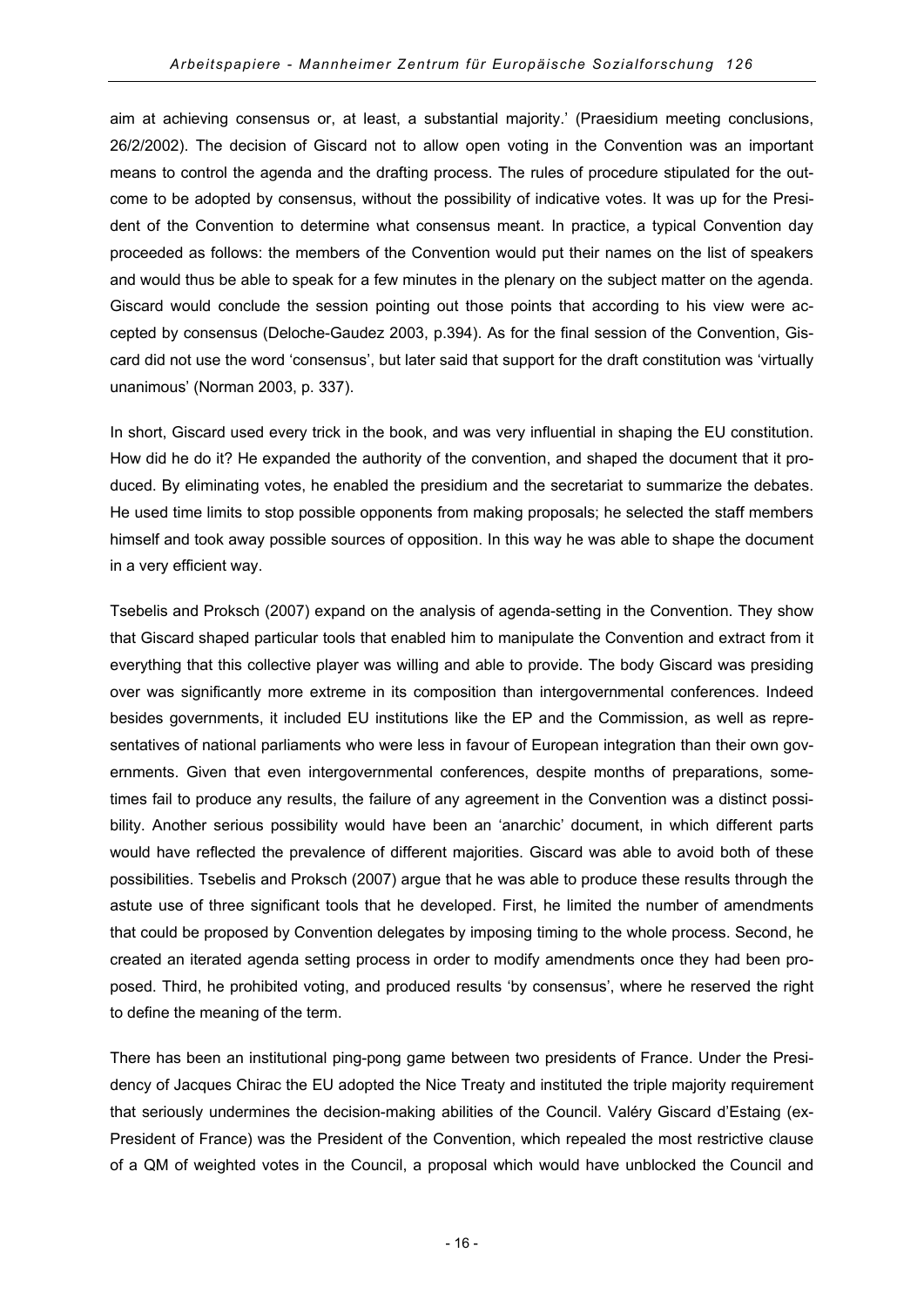aim at achieving consensus or, at least, a substantial majority.' (Praesidium meeting conclusions, 26/2/2002). The decision of Giscard not to allow open voting in the Convention was an important means to control the agenda and the drafting process. The rules of procedure stipulated for the outcome to be adopted by consensus, without the possibility of indicative votes. It was up for the President of the Convention to determine what consensus meant. In practice, a typical Convention day proceeded as follows: the members of the Convention would put their names on the list of speakers and would thus be able to speak for a few minutes in the plenary on the subject matter on the agenda. Giscard would conclude the session pointing out those points that according to his view were accepted by consensus (Deloche-Gaudez 2003, p.394). As for the final session of the Convention, Giscard did not use the word 'consensus', but later said that support for the draft constitution was 'virtually unanimous' (Norman 2003, p. 337).

In short, Giscard used every trick in the book, and was very influential in shaping the EU constitution. How did he do it? He expanded the authority of the convention, and shaped the document that it produced. By eliminating votes, he enabled the presidium and the secretariat to summarize the debates. He used time limits to stop possible opponents from making proposals; he selected the staff members himself and took away possible sources of opposition. In this way he was able to shape the document in a very efficient way.

Tsebelis and Proksch (2007) expand on the analysis of agenda-setting in the Convention. They show that Giscard shaped particular tools that enabled him to manipulate the Convention and extract from it everything that this collective player was willing and able to provide. The body Giscard was presiding over was significantly more extreme in its composition than intergovernmental conferences. Indeed besides governments, it included EU institutions like the EP and the Commission, as well as representatives of national parliaments who were less in favour of European integration than their own governments. Given that even intergovernmental conferences, despite months of preparations, sometimes fail to produce any results, the failure of any agreement in the Convention was a distinct possibility. Another serious possibility would have been an 'anarchic' document, in which different parts would have reflected the prevalence of different majorities. Giscard was able to avoid both of these possibilities. Tsebelis and Proksch (2007) argue that he was able to produce these results through the astute use of three significant tools that he developed. First, he limited the number of amendments that could be proposed by Convention delegates by imposing timing to the whole process. Second, he created an iterated agenda setting process in order to modify amendments once they had been proposed. Third, he prohibited voting, and produced results 'by consensus', where he reserved the right to define the meaning of the term.

There has been an institutional ping-pong game between two presidents of France. Under the Presidency of Jacques Chirac the EU adopted the Nice Treaty and instituted the triple majority requirement that seriously undermines the decision-making abilities of the Council. Valéry Giscard d'Estaing (ex-President of France) was the President of the Convention, which repealed the most restrictive clause of a QM of weighted votes in the Council, a proposal which would have unblocked the Council and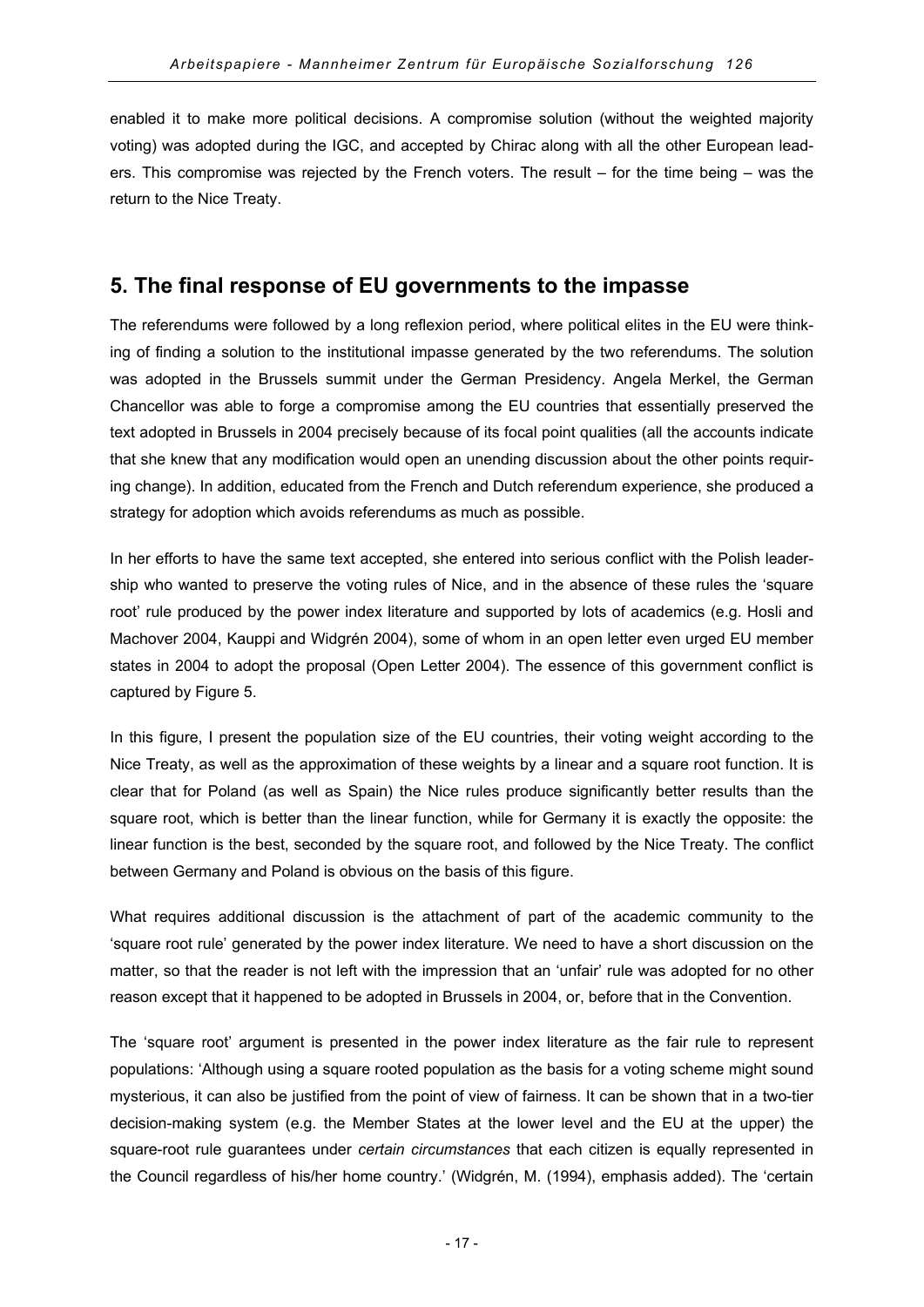<span id="page-21-0"></span>enabled it to make more political decisions. A compromise solution (without the weighted majority voting) was adopted during the IGC, and accepted by Chirac along with all the other European leaders. This compromise was rejected by the French voters. The result – for the time being – was the return to the Nice Treaty.

## <span id="page-21-1"></span>**5. The final response of EU governments to the impasse**

The referendums were followed by a long reflexion period, where political elites in the EU were thinking of finding a solution to the institutional impasse generated by the two referendums. The solution was adopted in the Brussels summit under the German Presidency. Angela Merkel, the German Chancellor was able to forge a compromise among the EU countries that essentially preserved the text adopted in Brussels in 2004 precisely because of its focal point qualities (all the accounts indicate that she knew that any modification would open an unending discussion about the other points requiring change). In addition, educated from the French and Dutch referendum experience, she produced a strategy for adoption which avoids referendums as much as possible.

In her efforts to have the same text accepted, she entered into serious conflict with the Polish leadership who wanted to preserve the voting rules of Nice, and in the absence of these rules the 'square root' rule produced by the power index literature and supported by lots of academics (e.g. Hosli and Machover 2004, Kauppi and Widgrén 2004), some of whom in an open letter even urged EU member states in 2004 to adopt the proposal (Open Letter 2004). The essence of this government conflict is captured by Figure 5.

In this figure, I present the population size of the EU countries, their voting weight according to the Nice Treaty, as well as the approximation of these weights by a linear and a square root function. It is clear that for Poland (as well as Spain) the Nice rules produce significantly better results than the square root, which is better than the linear function, while for Germany it is exactly the opposite: the linear function is the best, seconded by the square root, and followed by the Nice Treaty. The conflict between Germany and Poland is obvious on the basis of this figure.

What requires additional discussion is the attachment of part of the academic community to the 'square root rule' generated by the power index literature. We need to have a short discussion on the matter, so that the reader is not left with the impression that an 'unfair' rule was adopted for no other reason except that it happened to be adopted in Brussels in 2004, or, before that in the Convention.

The 'square root' argument is presented in the power index literature as the fair rule to represent populations: 'Although using a square rooted population as the basis for a voting scheme might sound mysterious, it can also be justified from the point of view of fairness. It can be shown that in a two-tier decision-making system (e.g. the Member States at the lower level and the EU at the upper) the square-root rule guarantees under *certain circumstances* that each citizen is equally represented in the Council regardless of his/her home country.' (Widgrén, M. (1994), emphasis added). The 'certain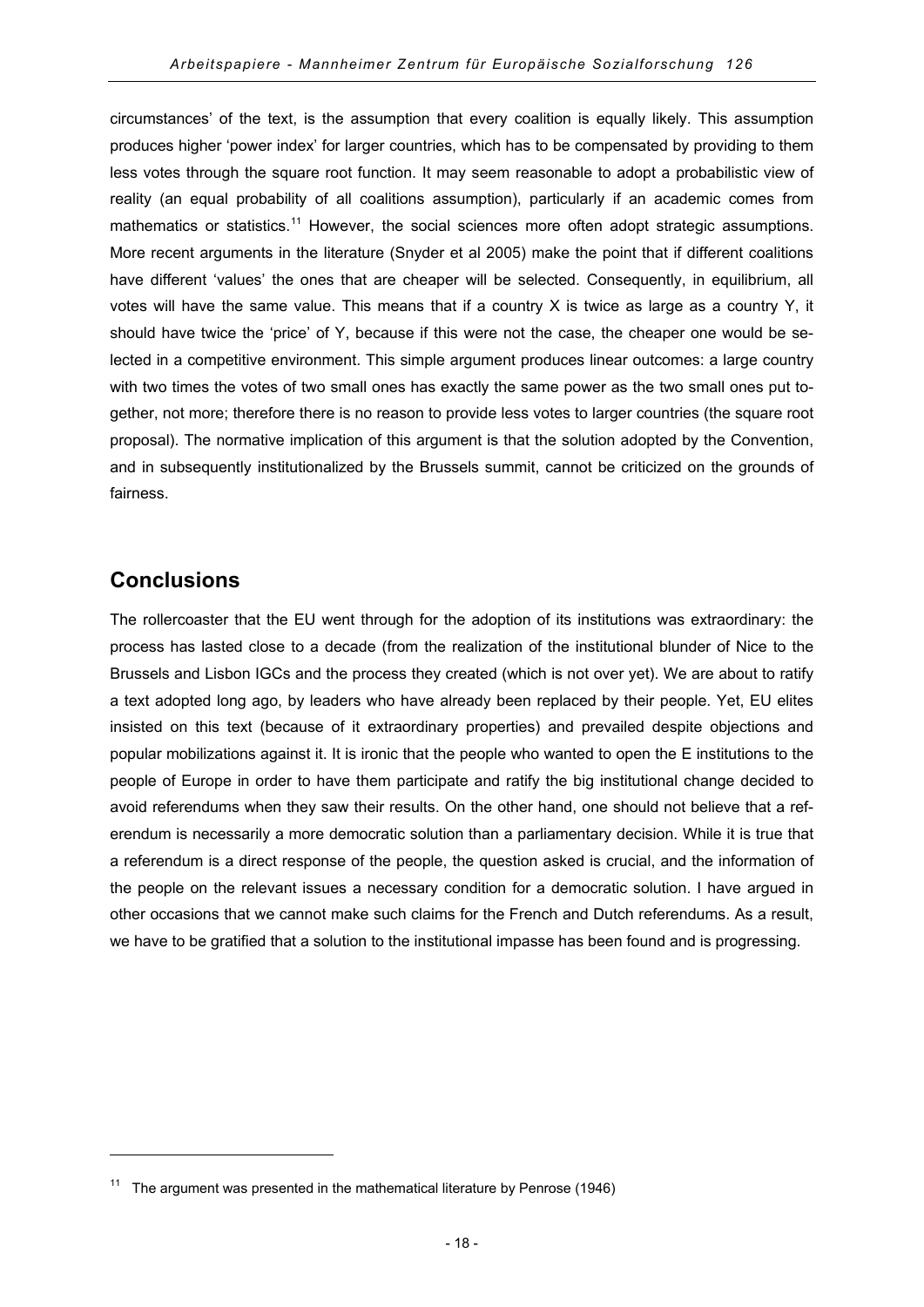<span id="page-22-0"></span>circumstances' of the text, is the assumption that every coalition is equally likely. This assumption produces higher 'power index' for larger countries, which has to be compensated by providing to them less votes through the square root function. It may seem reasonable to adopt a probabilistic view of reality (an equal probability of all coalitions assumption), particularly if an academic comes from mathematics or statistics.<sup>[11](#page-22-2)</sup> However, the social sciences more often adopt strategic assumptions. More recent arguments in the literature (Snyder et al 2005) make the point that if different coalitions have different 'values' the ones that are cheaper will be selected. Consequently, in equilibrium, all votes will have the same value. This means that if a country X is twice as large as a country Y, it should have twice the 'price' of Y, because if this were not the case, the cheaper one would be selected in a competitive environment. This simple argument produces linear outcomes: a large country with two times the votes of two small ones has exactly the same power as the two small ones put together, not more; therefore there is no reason to provide less votes to larger countries (the square root proposal). The normative implication of this argument is that the solution adopted by the Convention, and in subsequently institutionalized by the Brussels summit, cannot be criticized on the grounds of fairness.

### <span id="page-22-1"></span>**Conclusions**

1

The rollercoaster that the EU went through for the adoption of its institutions was extraordinary: the process has lasted close to a decade (from the realization of the institutional blunder of Nice to the Brussels and Lisbon IGCs and the process they created (which is not over yet). We are about to ratify a text adopted long ago, by leaders who have already been replaced by their people. Yet, EU elites insisted on this text (because of it extraordinary properties) and prevailed despite objections and popular mobilizations against it. It is ironic that the people who wanted to open the E institutions to the people of Europe in order to have them participate and ratify the big institutional change decided to avoid referendums when they saw their results. On the other hand, one should not believe that a referendum is necessarily a more democratic solution than a parliamentary decision. While it is true that a referendum is a direct response of the people, the question asked is crucial, and the information of the people on the relevant issues a necessary condition for a democratic solution. I have argued in other occasions that we cannot make such claims for the French and Dutch referendums. As a result, we have to be gratified that a solution to the institutional impasse has been found and is progressing.

<span id="page-22-2"></span><sup>&</sup>lt;sup>11</sup> The argument was presented in the mathematical literature by Penrose (1946)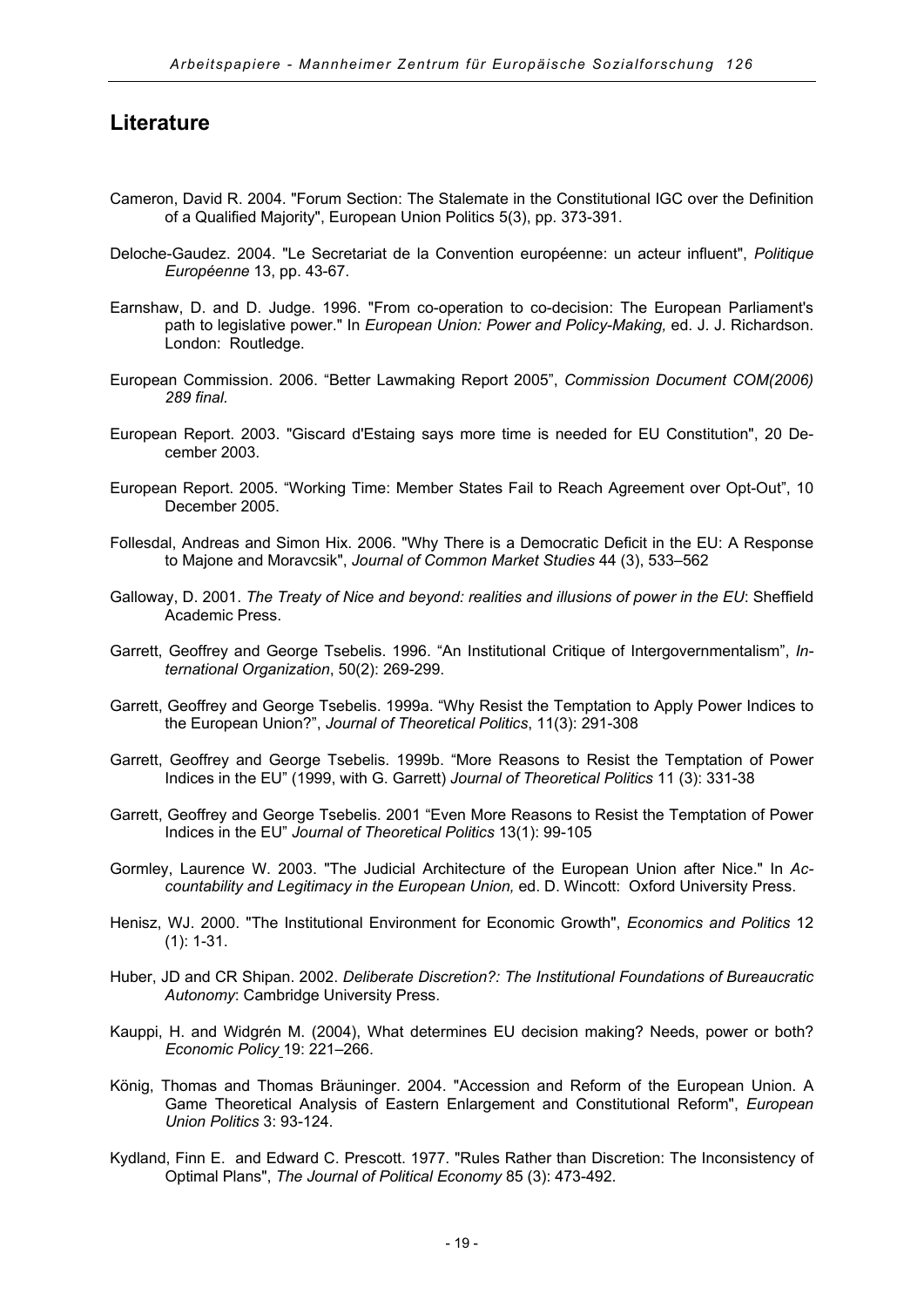#### <span id="page-23-1"></span><span id="page-23-0"></span>**Literature**

- Cameron, David R. 2004. "Forum Section: The Stalemate in the Constitutional IGC over the Definition of a Qualified Majority", European Union Politics 5(3), pp. 373-391.
- Deloche-Gaudez. 2004. "Le Secretariat de la Convention européenne: un acteur influent", *Politique Européenne* 13, pp. 43-67.
- Earnshaw, D. and D. Judge. 1996. "From co-operation to co-decision: The European Parliament's path to legislative power." In *European Union: Power and Policy-Making,* ed. J. J. Richardson. London: Routledge.
- European Commission. 2006. "Better Lawmaking Report 2005", *Commission Document COM(2006) 289 final.*
- European Report. 2003. "Giscard d'Estaing says more time is needed for EU Constitution", 20 December 2003.
- European Report. 2005. "Working Time: Member States Fail to Reach Agreement over Opt-Out", 10 December 2005.
- Follesdal, Andreas and Simon Hix. 2006. "Why There is a Democratic Deficit in the EU: A Response to Majone and Moravcsik", *Journal of Common Market Studies* 44 (3), 533–562
- Galloway, D. 2001. *The Treaty of Nice and beyond: realities and illusions of power in the EU*: Sheffield Academic Press.
- Garrett, Geoffrey and George Tsebelis. 1996. "An Institutional Critique of Intergovernmentalism", *International Organization*, 50(2): 269-299.
- Garrett, Geoffrey and George Tsebelis. 1999a. "Why Resist the Temptation to Apply Power Indices to the European Union?", *Journal of Theoretical Politics*, 11(3): 291-308
- Garrett, Geoffrey and George Tsebelis. 1999b. "More Reasons to Resist the Temptation of Power Indices in the EU" (1999, with G. Garrett) *Journal of Theoretical Politics* 11 (3): 331-38
- Garrett, Geoffrey and George Tsebelis. 2001 "Even More Reasons to Resist the Temptation of Power Indices in the EU" *Journal of Theoretical Politics* 13(1): 99-105
- Gormley, Laurence W. 2003. "The Judicial Architecture of the European Union after Nice." In *Accountability and Legitimacy in the European Union,* ed. D. Wincott: Oxford University Press.
- Henisz, WJ. 2000. "The Institutional Environment for Economic Growth", *Economics and Politics* 12 (1): 1-31.
- Huber, JD and CR Shipan. 2002. *Deliberate Discretion?: The Institutional Foundations of Bureaucratic Autonomy*: Cambridge University Press.
- Kauppi, H. and Widgrén M. (2004), What determines EU decision making? Needs, power or both? *Economic Policy* 19: 221–266.
- König, Thomas and Thomas Bräuninger. 2004. "Accession and Reform of the European Union. A Game Theoretical Analysis of Eastern Enlargement and Constitutional Reform", *European Union Politics* 3: 93-124.
- Kydland, Finn E. and Edward C. Prescott. 1977. "Rules Rather than Discretion: The Inconsistency of Optimal Plans", *The Journal of Political Economy* 85 (3): 473-492.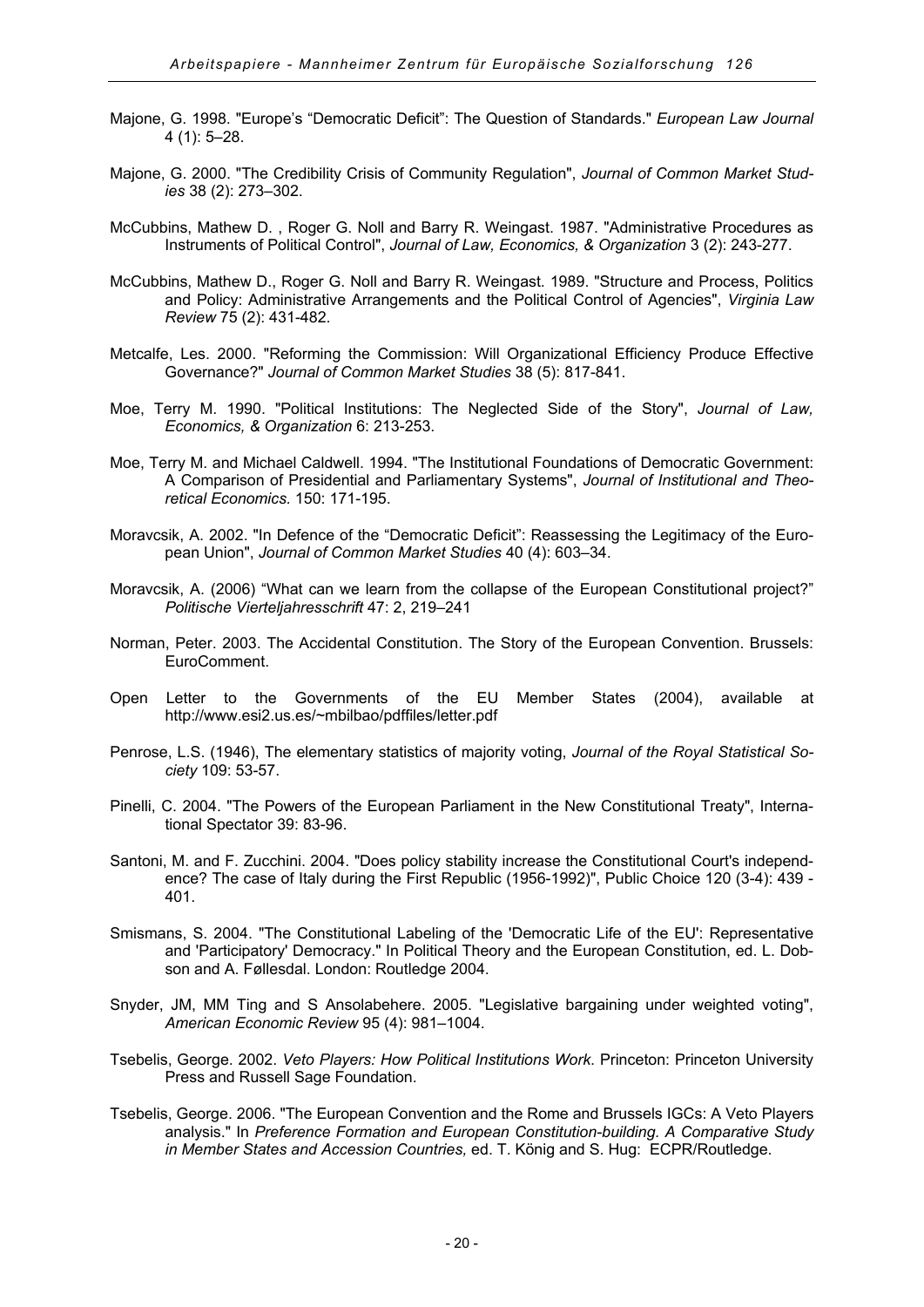- Majone, G. 1998. "Europe's "Democratic Deficit": The Question of Standards." *European Law Journal* 4 (1): 5–28.
- Majone, G. 2000. "The Credibility Crisis of Community Regulation", *Journal of Common Market Studies* 38 (2): 273–302.
- McCubbins, Mathew D. , Roger G. Noll and Barry R. Weingast. 1987. "Administrative Procedures as Instruments of Political Control", *Journal of Law, Economics, & Organization* 3 (2): 243-277.
- McCubbins, Mathew D., Roger G. Noll and Barry R. Weingast. 1989. "Structure and Process, Politics and Policy: Administrative Arrangements and the Political Control of Agencies", *Virginia Law Review* 75 (2): 431-482.
- Metcalfe, Les. 2000. "Reforming the Commission: Will Organizational Efficiency Produce Effective Governance?" *Journal of Common Market Studies* 38 (5): 817-841.
- Moe, Terry M. 1990. "Political Institutions: The Neglected Side of the Story", *Journal of Law, Economics, & Organization* 6: 213-253.
- Moe, Terry M. and Michael Caldwell. 1994. "The Institutional Foundations of Democratic Government: A Comparison of Presidential and Parliamentary Systems", *Journal of Institutional and Theoretical Economics.* 150: 171-195.
- Moravcsik, A. 2002. "In Defence of the "Democratic Deficit": Reassessing the Legitimacy of the European Union", *Journal of Common Market Studies* 40 (4): 603–34.
- Moravcsik, A. (2006) "What can we learn from the collapse of the European Constitutional project?" *Politische Vierteljahresschrift* 47: 2, 219–241
- Norman, Peter. 2003. The Accidental Constitution. The Story of the European Convention. Brussels: EuroComment.
- Open Letter to the Governments of the EU Member States (2004), available at http://www.esi2.us.es/~mbilbao/pdffiles/letter.pdf
- Penrose, L.S. (1946), The elementary statistics of majority voting, *Journal of the Royal Statistical Society* 109: 53-57.
- Pinelli, C. 2004. "The Powers of the European Parliament in the New Constitutional Treaty", International Spectator 39: 83-96.
- Santoni, M. and F. Zucchini. 2004. "Does policy stability increase the Constitutional Court's independence? The case of Italy during the First Republic (1956-1992)", Public Choice 120 (3-4): 439 - 401.
- Smismans, S. 2004. "The Constitutional Labeling of the 'Democratic Life of the EU': Representative and 'Participatory' Democracy." In Political Theory and the European Constitution, ed. L. Dobson and A. Føllesdal. London: Routledge 2004.
- Snyder, JM, MM Ting and S Ansolabehere. 2005. "Legislative bargaining under weighted voting", *American Economic Review* 95 (4): 981–1004.
- Tsebelis, George. 2002. *Veto Players: How Political Institutions Work*. Princeton: Princeton University Press and Russell Sage Foundation.
- Tsebelis, George. 2006. "The European Convention and the Rome and Brussels IGCs: A Veto Players analysis." In *Preference Formation and European Constitution-building. A Comparative Study in Member States and Accession Countries,* ed. T. König and S. Hug: ECPR/Routledge.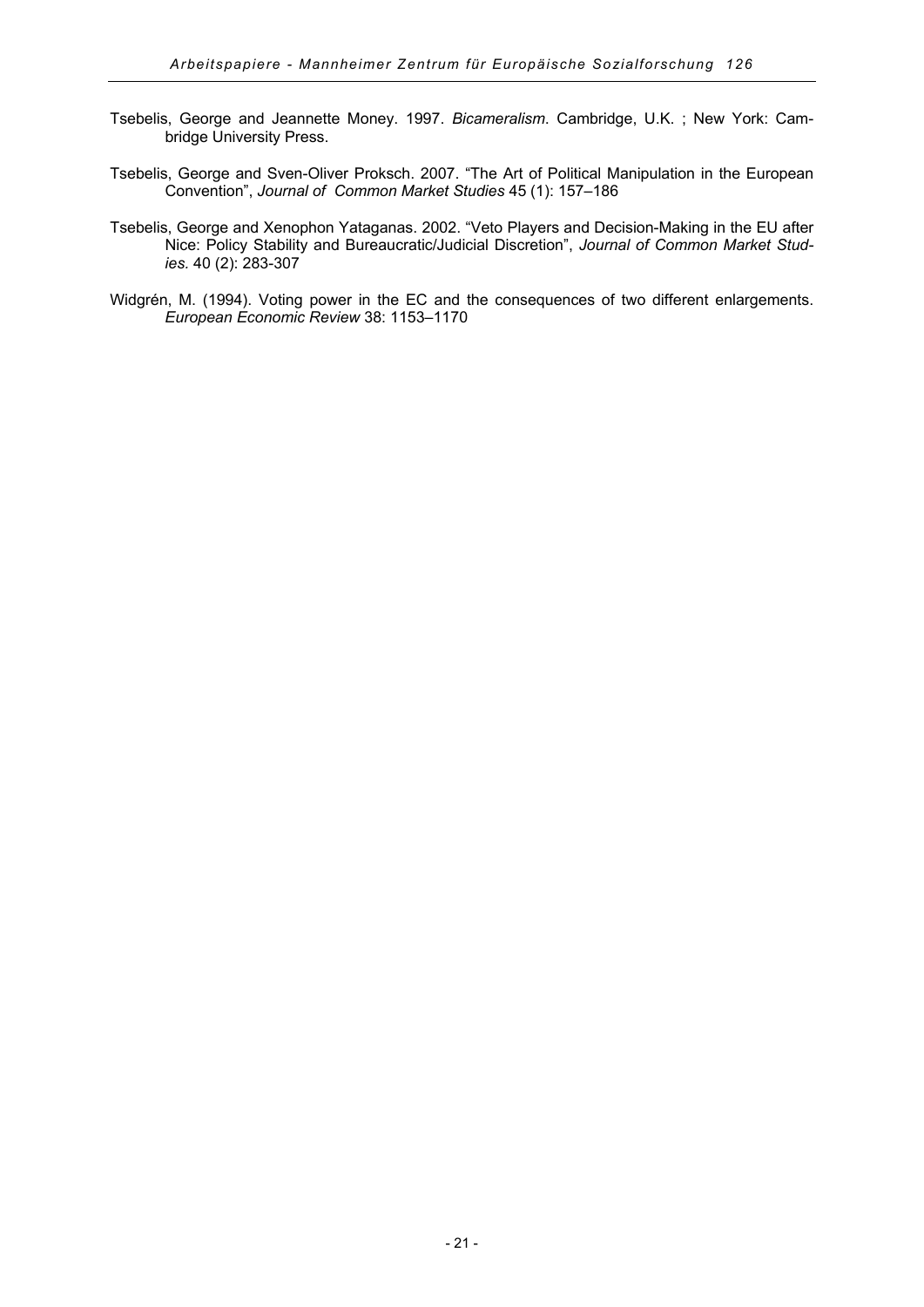- Tsebelis, George and Jeannette Money. 1997. *Bicameralism*. Cambridge, U.K. ; New York: Cambridge University Press.
- Tsebelis, George and Sven-Oliver Proksch. 2007. "The Art of Political Manipulation in the European Convention", *Journal of Common Market Studies* 45 (1): 157–186
- Tsebelis, George and Xenophon Yataganas. 2002. "Veto Players and Decision-Making in the EU after Nice: Policy Stability and Bureaucratic/Judicial Discretion", *Journal of Common Market Studies.* 40 (2): 283-307
- Widgrén, M. (1994). Voting power in the EC and the consequences of two different enlargements. *European Economic Review* 38: 1153–1170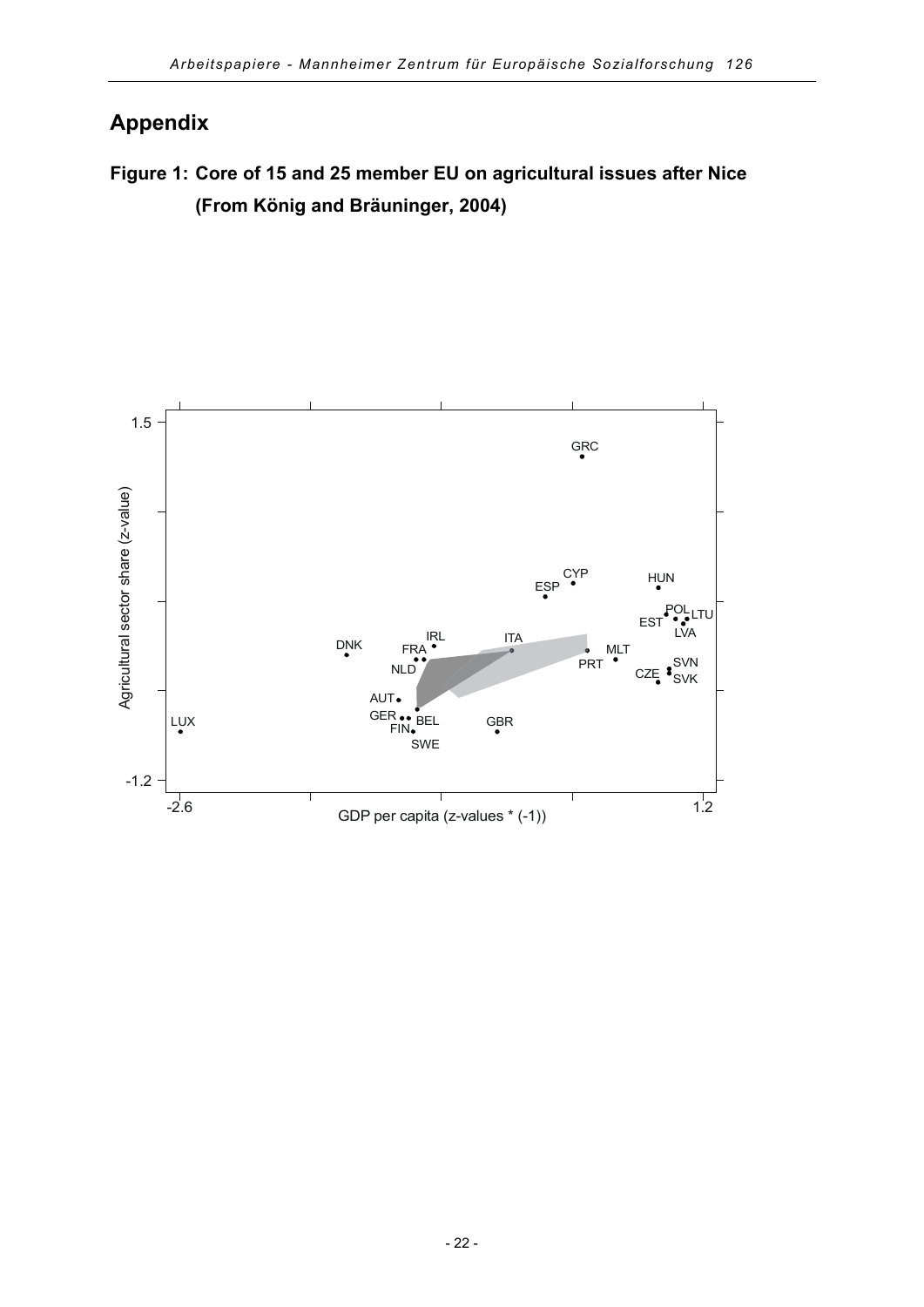## <span id="page-26-1"></span><span id="page-26-0"></span>**Appendix**

## <span id="page-26-2"></span>**Figure 1: Core of 15 and 25 member EU on agricultural issues after Nice (From König and Bräuninger, 2004)**

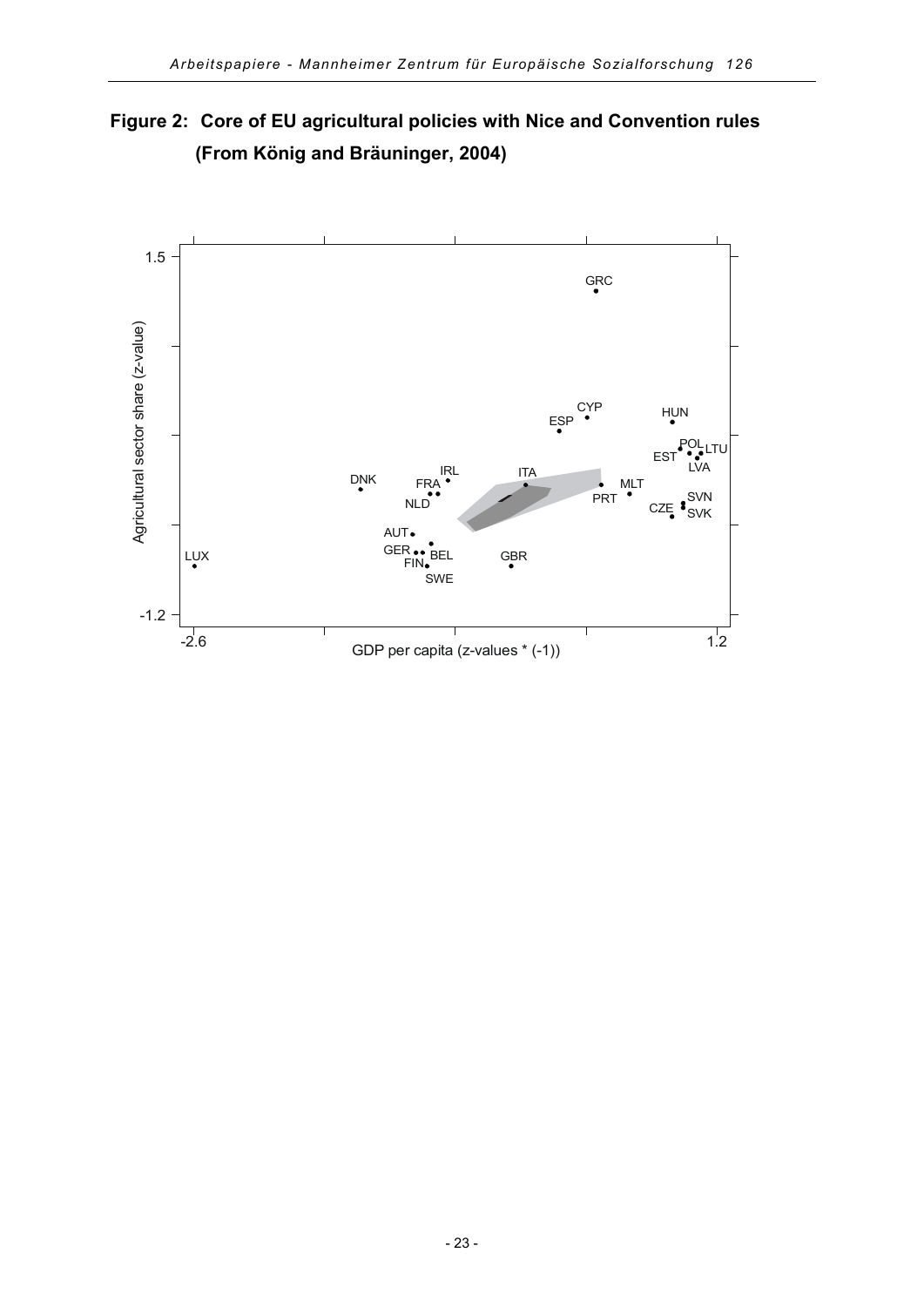<span id="page-27-0"></span>

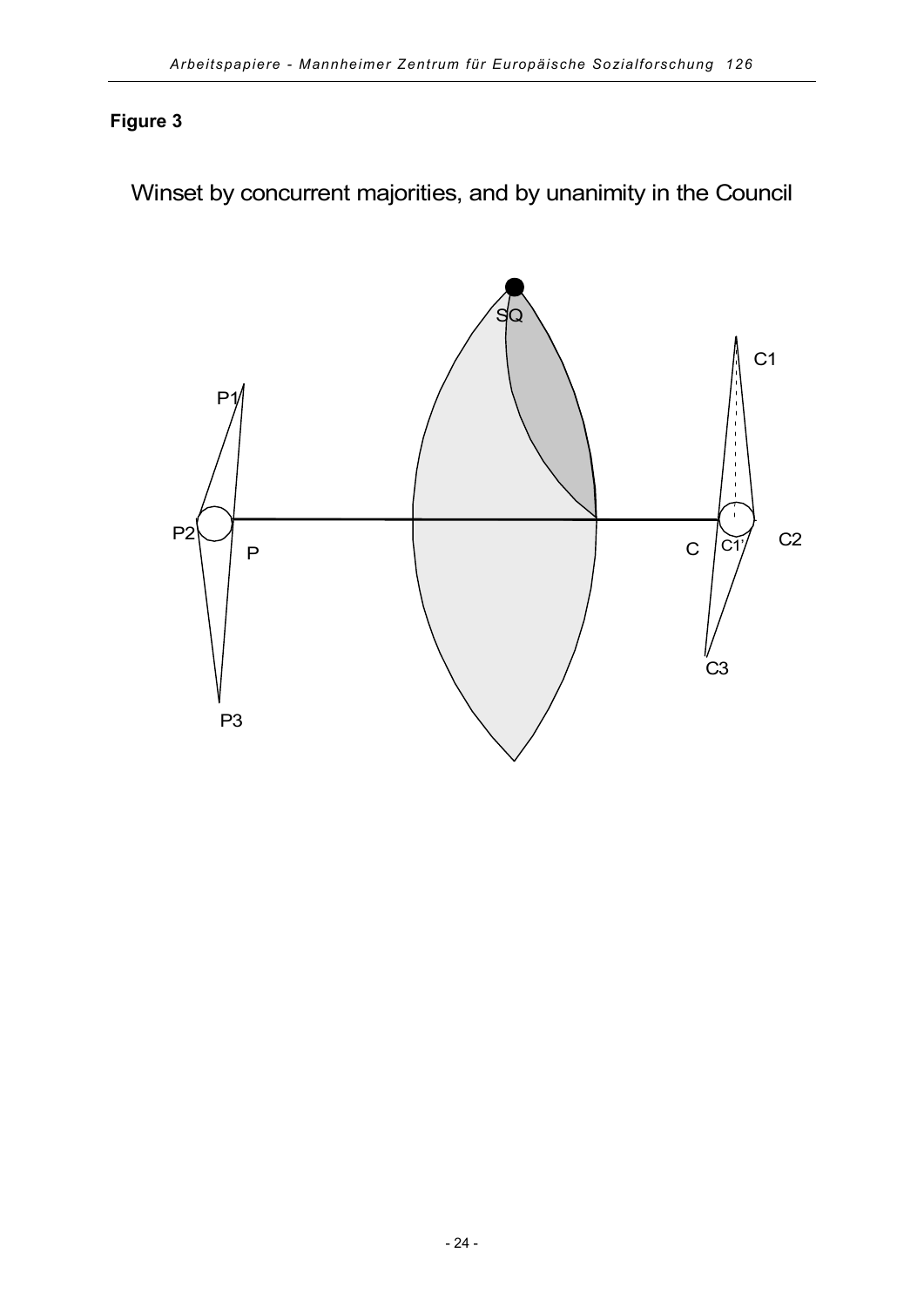## <span id="page-28-0"></span>**Figure 3**

Winset by concurrent majorities, and by unanimity in the Council

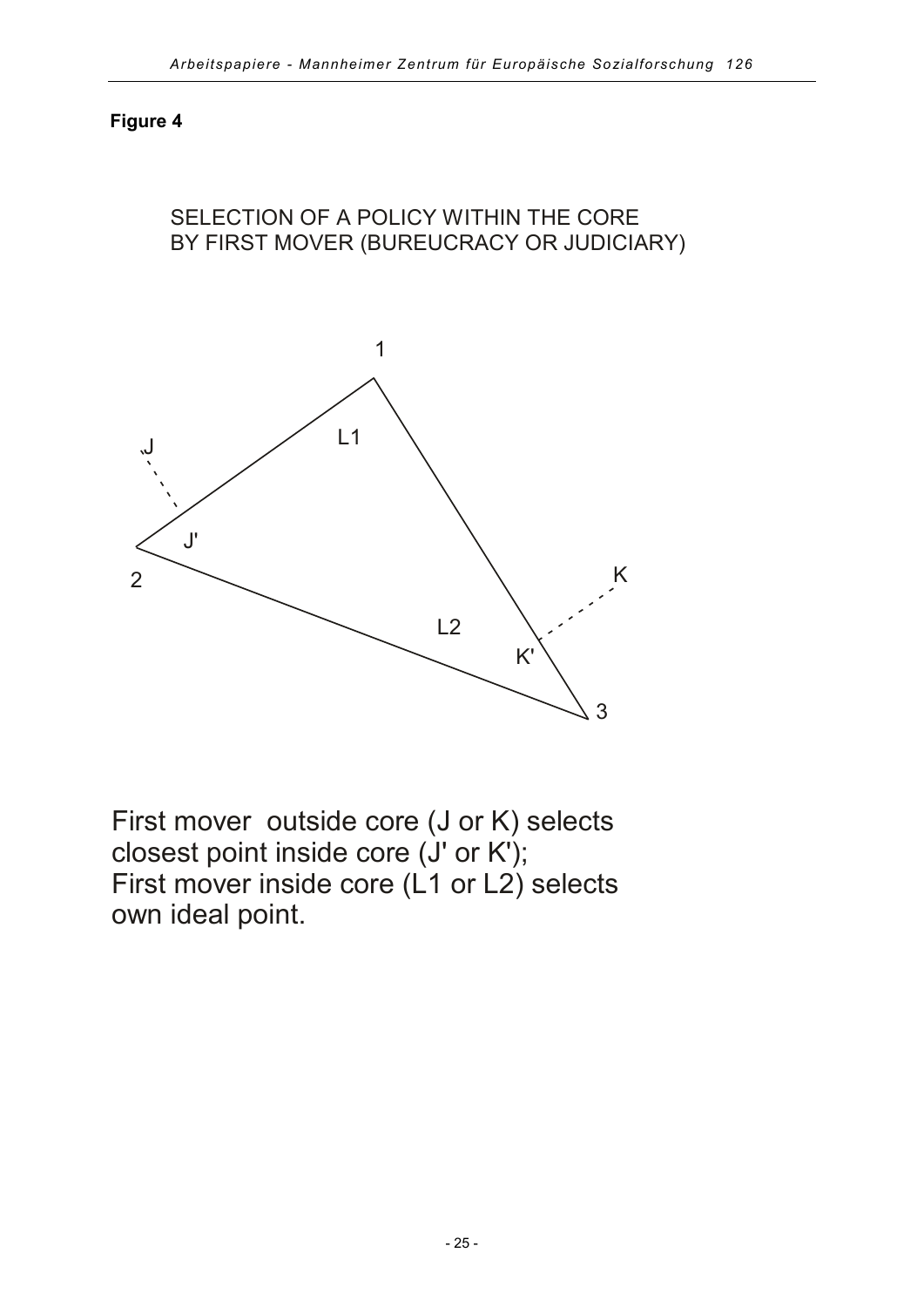<span id="page-29-0"></span>**Figure 4** 





First mover outside core (J or K) selects closest point inside core (J' or K'); First mover inside core (L1 or L2) selects own ideal point.